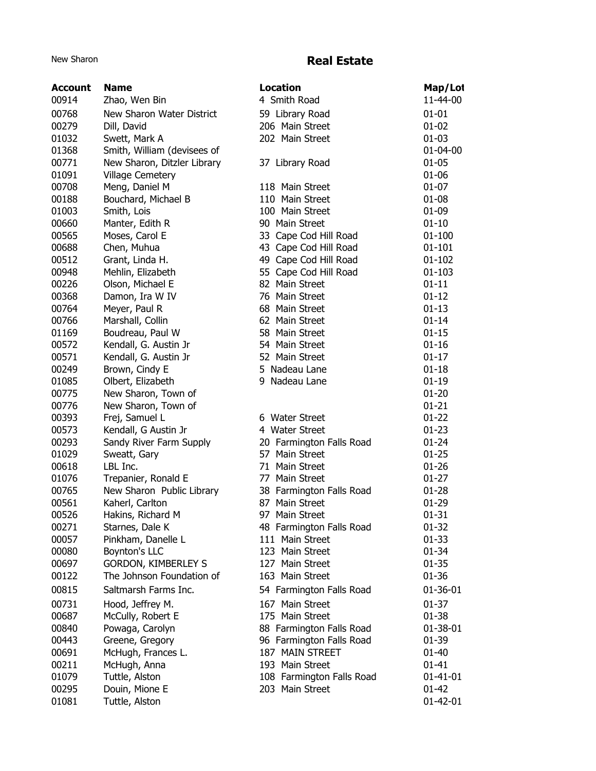## New Sharon **Real Estate**

| <b>Account</b> | <b>Name</b>                 | <b>Location</b>           | Map/Lot        |
|----------------|-----------------------------|---------------------------|----------------|
| 00914          | Zhao, Wen Bin               | 4 Smith Road              | 11-44-00       |
| 00768          | New Sharon Water District   | 59 Library Road           | $01 - 01$      |
| 00279          | Dill, David                 | 206 Main Street           | $01 - 02$      |
| 01032          | Swett, Mark A               | 202 Main Street           | $01 - 03$      |
| 01368          | Smith, William (devisees of |                           | $01 - 04 - 00$ |
| 00771          | New Sharon, Ditzler Library | 37 Library Road           | $01 - 05$      |
| 01091          | <b>Village Cemetery</b>     |                           | $01 - 06$      |
| 00708          | Meng, Daniel M              | 118 Main Street           | $01 - 07$      |
| 00188          | Bouchard, Michael B         | 110 Main Street           | $01 - 08$      |
| 01003          | Smith, Lois                 | 100 Main Street           | $01 - 09$      |
| 00660          | Manter, Edith R             | 90 Main Street            | $01 - 10$      |
| 00565          | Moses, Carol E              | 33 Cape Cod Hill Road     | $01 - 100$     |
| 00688          | Chen, Muhua                 | 43 Cape Cod Hill Road     | $01 - 101$     |
| 00512          | Grant, Linda H.             | 49 Cape Cod Hill Road     | $01 - 102$     |
| 00948          | Mehlin, Elizabeth           | 55 Cape Cod Hill Road     | $01 - 103$     |
| 00226          | Olson, Michael E            | 82 Main Street            | $01 - 11$      |
| 00368          | Damon, Ira W IV             | 76 Main Street            | $01 - 12$      |
| 00764          | Meyer, Paul R               | 68 Main Street            | $01 - 13$      |
| 00766          | Marshall, Collin            | 62 Main Street            | $01 - 14$      |
| 01169          | Boudreau, Paul W            | 58 Main Street            | $01 - 15$      |
| 00572          | Kendall, G. Austin Jr       | 54 Main Street            | $01 - 16$      |
| 00571          | Kendall, G. Austin Jr       | 52 Main Street            | $01 - 17$      |
| 00249          | Brown, Cindy E              | 5 Nadeau Lane             | $01 - 18$      |
| 01085          | Olbert, Elizabeth           | 9 Nadeau Lane             | $01 - 19$      |
| 00775          | New Sharon, Town of         |                           | $01 - 20$      |
| 00776          | New Sharon, Town of         |                           | $01 - 21$      |
| 00393          | Frej, Samuel L              | 6 Water Street            | $01 - 22$      |
| 00573          | Kendall, G Austin Jr        | 4 Water Street            | $01 - 23$      |
| 00293          | Sandy River Farm Supply     | 20 Farmington Falls Road  | $01 - 24$      |
| 01029          | Sweatt, Gary                | 57 Main Street            | $01 - 25$      |
| 00618          | LBL Inc.                    | 71 Main Street            | $01 - 26$      |
| 01076          | Trepanier, Ronald E         | 77 Main Street            | $01 - 27$      |
| 00765          | New Sharon Public Library   | 38 Farmington Falls Road  | $01 - 28$      |
| 00561          | Kaherl, Carlton             | 87 Main Street            | $01 - 29$      |
| 00526          | Hakins, Richard M           | 97 Main Street            | $01 - 31$      |
| 00271          | Starnes, Dale K             | 48 Farmington Falls Road  | $01 - 32$      |
| 00057          | Pinkham, Danelle L          | 111 Main Street           | $01 - 33$      |
| 00080          | Boynton's LLC               | 123 Main Street           | $01 - 34$      |
| 00697          | <b>GORDON, KIMBERLEY S</b>  | 127 Main Street           | $01 - 35$      |
| 00122          | The Johnson Foundation of   | 163 Main Street           | 01-36          |
|                |                             |                           |                |
| 00815          | Saltmarsh Farms Inc.        | 54 Farmington Falls Road  | 01-36-01       |
| 00731          | Hood, Jeffrey M.            | 167 Main Street           | $01 - 37$      |
| 00687          | McCully, Robert E           | 175 Main Street           | $01 - 38$      |
| 00840          | Powaga, Carolyn             | 88 Farmington Falls Road  | 01-38-01       |
| 00443          | Greene, Gregory             | 96 Farmington Falls Road  | $01 - 39$      |
| 00691          | McHugh, Frances L.          | 187 MAIN STREET           | $01 - 40$      |
| 00211          | McHugh, Anna                | 193 Main Street           | $01 - 41$      |
| 01079          | Tuttle, Alston              | 108 Farmington Falls Road | $01 - 41 - 01$ |
| 00295          | Douin, Mione E              | 203 Main Street           | $01 - 42$      |
| 01081          | Tuttle, Alston              |                           | 01-42-01       |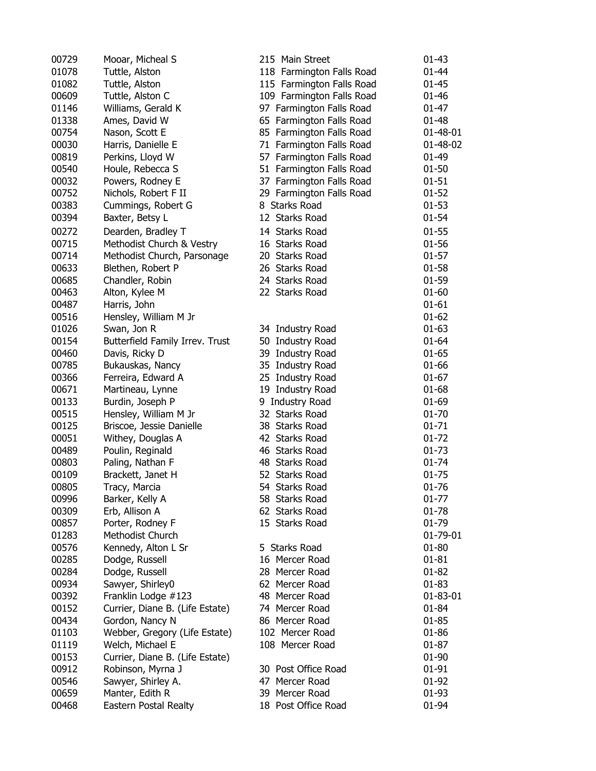| 00729 | Mooar, Micheal S                | 215 Main Street           | $01 - 43$      |
|-------|---------------------------------|---------------------------|----------------|
| 01078 | Tuttle, Alston                  | 118 Farmington Falls Road | $01 - 44$      |
| 01082 | Tuttle, Alston                  | 115 Farmington Falls Road | $01 - 45$      |
| 00609 | Tuttle, Alston C                | 109 Farmington Falls Road | 01-46          |
| 01146 | Williams, Gerald K              | 97 Farmington Falls Road  | 01-47          |
| 01338 | Ames, David W                   | 65 Farmington Falls Road  | $01 - 48$      |
| 00754 | Nason, Scott E                  | 85 Farmington Falls Road  | 01-48-01       |
| 00030 | Harris, Danielle E              | 71 Farmington Falls Road  | 01-48-02       |
| 00819 | Perkins, Lloyd W                | 57 Farmington Falls Road  | 01-49          |
| 00540 | Houle, Rebecca S                | 51 Farmington Falls Road  | $01 - 50$      |
| 00032 | Powers, Rodney E                | 37 Farmington Falls Road  | $01 - 51$      |
| 00752 | Nichols, Robert F II            | 29 Farmington Falls Road  | $01 - 52$      |
| 00383 | Cummings, Robert G              | 8 Starks Road             | $01 - 53$      |
| 00394 | Baxter, Betsy L                 | 12 Starks Road            | $01 - 54$      |
|       |                                 | 14 Starks Road            |                |
| 00272 | Dearden, Bradley T              |                           | $01 - 55$      |
| 00715 | Methodist Church & Vestry       | 16 Starks Road            | $01 - 56$      |
| 00714 | Methodist Church, Parsonage     | 20 Starks Road            | $01 - 57$      |
| 00633 | Blethen, Robert P               | 26 Starks Road            | $01 - 58$      |
| 00685 | Chandler, Robin                 | 24 Starks Road            | $01 - 59$      |
| 00463 | Alton, Kylee M                  | 22 Starks Road            | $01 - 60$      |
| 00487 | Harris, John                    |                           | $01 - 61$      |
| 00516 | Hensley, William M Jr           |                           | $01 - 62$      |
| 01026 | Swan, Jon R                     | 34 Industry Road          | $01 - 63$      |
| 00154 | Butterfield Family Irrev. Trust | 50 Industry Road          | $01 - 64$      |
| 00460 | Davis, Ricky D                  | 39 Industry Road          | $01 - 65$      |
| 00785 | Bukauskas, Nancy                | 35 Industry Road          | 01-66          |
| 00366 | Ferreira, Edward A              | 25 Industry Road          | $01 - 67$      |
| 00671 | Martineau, Lynne                | 19 Industry Road          | $01 - 68$      |
| 00133 | Burdin, Joseph P                | 9 Industry Road           | $01 - 69$      |
| 00515 | Hensley, William M Jr           | 32 Starks Road            | $01 - 70$      |
| 00125 | Briscoe, Jessie Danielle        | 38 Starks Road            | $01 - 71$      |
| 00051 | Withey, Douglas A               | 42 Starks Road            | $01 - 72$      |
| 00489 | Poulin, Reginald                | 46 Starks Road            | $01 - 73$      |
| 00803 | Paling, Nathan F                | 48 Starks Road            | $01 - 74$      |
| 00109 | Brackett, Janet H               | 52 Starks Road            | $01 - 75$      |
| 00805 | Tracy, Marcia                   | 54 Starks Road            | 01-76          |
| 00996 | Barker, Kelly A                 | 58 Starks Road            | $01 - 77$      |
| 00309 | Erb, Allison A                  | 62 Starks Road            | $01 - 78$      |
| 00857 | Porter, Rodney F                | 15 Starks Road            | 01-79          |
| 01283 | Methodist Church                |                           | 01-79-01       |
| 00576 | Kennedy, Alton L Sr             | 5 Starks Road             | 01-80          |
| 00285 | Dodge, Russell                  | 16 Mercer Road            | $01 - 81$      |
| 00284 | Dodge, Russell                  | 28 Mercer Road            | 01-82          |
| 00934 | Sawyer, Shirley0                | 62 Mercer Road            | $01 - 83$      |
| 00392 | Franklin Lodge #123             | 48 Mercer Road            | $01 - 83 - 01$ |
| 00152 | Currier, Diane B. (Life Estate) | 74 Mercer Road            | 01-84          |
| 00434 | Gordon, Nancy N                 | 86 Mercer Road            | $01 - 85$      |
| 01103 | Webber, Gregory (Life Estate)   | 102 Mercer Road           | 01-86          |
| 01119 | Welch, Michael E                | 108 Mercer Road           | $01 - 87$      |
| 00153 | Currier, Diane B. (Life Estate) |                           | 01-90          |
| 00912 | Robinson, Myrna J               | 30 Post Office Road       | $01 - 91$      |
| 00546 | Sawyer, Shirley A.              | 47 Mercer Road            | 01-92          |
| 00659 | Manter, Edith R                 | 39 Mercer Road            | 01-93          |
| 00468 | Eastern Postal Realty           | 18 Post Office Road       | 01-94          |
|       |                                 |                           |                |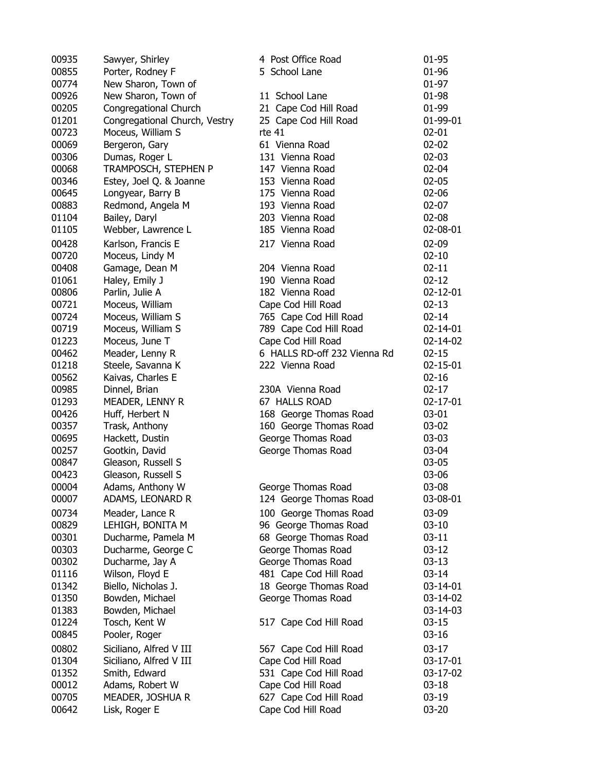| 00935 | Sawyer, Shirley               | 4 Post Office Road                           | $01 - 95$      |
|-------|-------------------------------|----------------------------------------------|----------------|
| 00855 | Porter, Rodney F              | 5 School Lane                                | 01-96          |
| 00774 | New Sharon, Town of           |                                              | 01-97          |
| 00926 | New Sharon, Town of           | 11 School Lane                               | 01-98          |
| 00205 | Congregational Church         | 21 Cape Cod Hill Road                        | 01-99          |
| 01201 | Congregational Church, Vestry | 25 Cape Cod Hill Road                        | 01-99-01       |
| 00723 | Moceus, William S             | rte 41                                       | $02 - 01$      |
| 00069 | Bergeron, Gary                | 61 Vienna Road                               | $02 - 02$      |
| 00306 | Dumas, Roger L                | 131 Vienna Road                              | $02 - 03$      |
| 00068 | TRAMPOSCH, STEPHEN P          | 147 Vienna Road                              | $02 - 04$      |
| 00346 | Estey, Joel Q. & Joanne       | 153 Vienna Road                              | $02 - 05$      |
| 00645 | Longyear, Barry B             | 175 Vienna Road                              | 02-06          |
| 00883 | Redmond, Angela M             | 193 Vienna Road                              | $02 - 07$      |
| 01104 | Bailey, Daryl                 | 203 Vienna Road                              | $02 - 08$      |
| 01105 | Webber, Lawrence L            | 185 Vienna Road                              | 02-08-01       |
| 00428 |                               |                                              | $02 - 09$      |
|       | Karlson, Francis E            | 217 Vienna Road                              |                |
| 00720 | Moceus, Lindy M               |                                              | $02 - 10$      |
| 00408 | Gamage, Dean M                | 204 Vienna Road                              | $02 - 11$      |
| 01061 | Haley, Emily J                | 190 Vienna Road                              | $02 - 12$      |
| 00806 | Parlin, Julie A               | 182 Vienna Road                              | $02 - 12 - 01$ |
| 00721 | Moceus, William               | Cape Cod Hill Road                           | $02 - 13$      |
| 00724 | Moceus, William S             | 765 Cape Cod Hill Road                       | $02 - 14$      |
| 00719 | Moceus, William S             | 789 Cape Cod Hill Road                       | 02-14-01       |
| 01223 | Moceus, June T                | Cape Cod Hill Road                           | 02-14-02       |
| 00462 | Meader, Lenny R               | 6 HALLS RD-off 232 Vienna Rd                 | $02 - 15$      |
| 01218 | Steele, Savanna K             | 222 Vienna Road                              | $02 - 15 - 01$ |
| 00562 | Kaivas, Charles E             |                                              | $02 - 16$      |
| 00985 | Dinnel, Brian                 | 230A Vienna Road                             | $02 - 17$      |
| 01293 | MEADER, LENNY R               | 67 HALLS ROAD                                | $02 - 17 - 01$ |
| 00426 | Huff, Herbert N               | 168 George Thomas Road                       | $03 - 01$      |
| 00357 | Trask, Anthony                | 160 George Thomas Road                       | $03-02$        |
| 00695 | Hackett, Dustin               | George Thomas Road                           | $03 - 03$      |
| 00257 | Gootkin, David                | George Thomas Road                           | 03-04          |
| 00847 | Gleason, Russell S            |                                              | 03-05          |
| 00423 | Gleason, Russell S            |                                              | 03-06          |
| 00004 | Adams, Anthony W              | George Thomas Road                           | 03-08          |
| 00007 | ADAMS, LEONARD R              | 124 George Thomas Road                       | 03-08-01       |
| 00734 | Meader, Lance R               | 100 George Thomas Road                       | 03-09          |
| 00829 | LEHIGH, BONITA M              | 96 George Thomas Road                        | $03 - 10$      |
| 00301 | Ducharme, Pamela M            | 68 George Thomas Road                        | $03 - 11$      |
| 00303 | Ducharme, George C            | George Thomas Road                           | $03 - 12$      |
| 00302 | Ducharme, Jay A               | George Thomas Road                           | $03 - 13$      |
| 01116 | Wilson, Floyd E               | 481 Cape Cod Hill Road                       | $03 - 14$      |
| 01342 | Biello, Nicholas J.           | 18 George Thomas Road                        | 03-14-01       |
| 01350 | Bowden, Michael               | George Thomas Road                           | 03-14-02       |
| 01383 | Bowden, Michael               |                                              | 03-14-03       |
| 01224 | Tosch, Kent W                 | 517 Cape Cod Hill Road                       | $03 - 15$      |
| 00845 | Pooler, Roger                 |                                              | $03 - 16$      |
| 00802 | Siciliano, Alfred V III       |                                              | $03-17$        |
| 01304 | Siciliano, Alfred V III       | 567 Cape Cod Hill Road<br>Cape Cod Hill Road | 03-17-01       |
|       |                               |                                              |                |
| 01352 | Smith, Edward                 | 531 Cape Cod Hill Road                       | 03-17-02       |
| 00012 | Adams, Robert W               | Cape Cod Hill Road                           | $03 - 18$      |
| 00705 | MEADER, JOSHUA R              | 627 Cape Cod Hill Road                       | $03 - 19$      |
| 00642 | Lisk, Roger E                 | Cape Cod Hill Road                           | $03 - 20$      |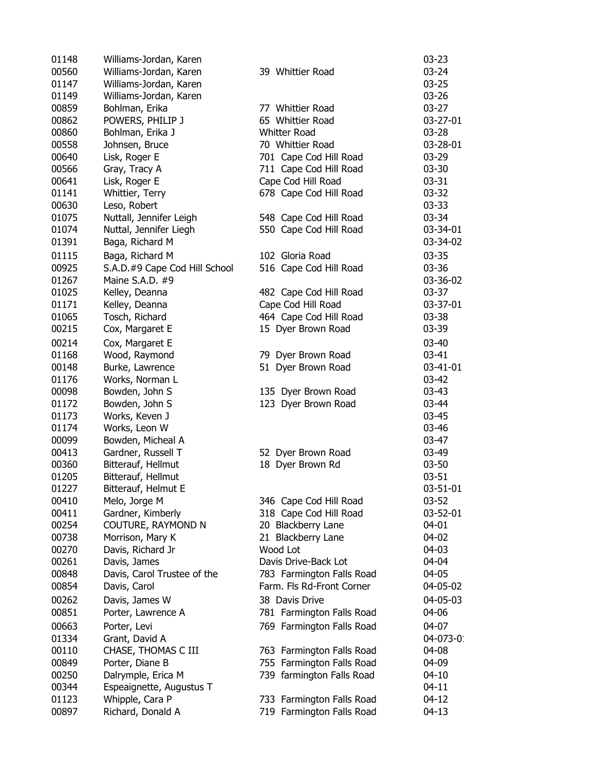| 01148 | Williams-Jordan, Karen        |                           | 03-23          |
|-------|-------------------------------|---------------------------|----------------|
| 00560 | Williams-Jordan, Karen        | 39 Whittier Road          | $03 - 24$      |
| 01147 | Williams-Jordan, Karen        |                           | $03 - 25$      |
| 01149 | Williams-Jordan, Karen        |                           | 03-26          |
| 00859 | Bohlman, Erika                | 77 Whittier Road          | $03-27$        |
| 00862 | POWERS, PHILIP J              | 65 Whittier Road          | 03-27-01       |
| 00860 | Bohlman, Erika J              | <b>Whitter Road</b>       | 03-28          |
|       |                               |                           |                |
| 00558 | Johnsen, Bruce                | 70 Whittier Road          | 03-28-01       |
| 00640 | Lisk, Roger E                 | 701 Cape Cod Hill Road    | $03 - 29$      |
| 00566 | Gray, Tracy A                 | 711 Cape Cod Hill Road    | $03 - 30$      |
| 00641 | Lisk, Roger E                 | Cape Cod Hill Road        | $03 - 31$      |
| 01141 | Whittier, Terry               | 678 Cape Cod Hill Road    | $03 - 32$      |
| 00630 | Leso, Robert                  |                           | $03 - 33$      |
| 01075 | Nuttall, Jennifer Leigh       | 548 Cape Cod Hill Road    | 03-34          |
| 01074 | Nuttal, Jennifer Liegh        | 550 Cape Cod Hill Road    | 03-34-01       |
| 01391 | Baga, Richard M               |                           | 03-34-02       |
| 01115 | Baga, Richard M               | 102 Gloria Road           | $03 - 35$      |
| 00925 | S.A.D.#9 Cape Cod Hill School | 516 Cape Cod Hill Road    | 03-36          |
| 01267 | Maine S.A.D. #9               |                           | 03-36-02       |
| 01025 | Kelley, Deanna                | 482 Cape Cod Hill Road    | 03-37          |
| 01171 | Kelley, Deanna                | Cape Cod Hill Road        | 03-37-01       |
| 01065 | Tosch, Richard                | 464 Cape Cod Hill Road    | 03-38          |
| 00215 | Cox, Margaret E               | 15 Dyer Brown Road        | 03-39          |
|       |                               |                           |                |
| 00214 | Cox, Margaret E               |                           | $03 - 40$      |
| 01168 | Wood, Raymond                 | 79 Dyer Brown Road        | $03 - 41$      |
| 00148 | Burke, Lawrence               | 51 Dyer Brown Road        | 03-41-01       |
| 01176 | Works, Norman L               |                           | $03 - 42$      |
| 00098 | Bowden, John S                | 135 Dyer Brown Road       | $03-43$        |
| 01172 | Bowden, John S                | 123 Dyer Brown Road       | $03 - 44$      |
| 01173 | Works, Keven J                |                           | $03 - 45$      |
| 01174 | Works, Leon W                 |                           | 03-46          |
| 00099 | Bowden, Micheal A             |                           | $03 - 47$      |
| 00413 | Gardner, Russell T            | 52 Dyer Brown Road        | 03-49          |
| 00360 | Bitterauf, Hellmut            | 18 Dyer Brown Rd          | $03 - 50$      |
| 01205 | Bitterauf, Hellmut            |                           | $03 - 51$      |
| 01227 | Bitterauf, Helmut E           |                           | 03-51-01       |
| 00410 | Melo, Jorge M                 | 346 Cape Cod Hill Road    | 03-52          |
| 00411 | Gardner, Kimberly             | 318 Cape Cod Hill Road    | 03-52-01       |
| 00254 | COUTURE, RAYMOND N            | 20 Blackberry Lane        | 04-01          |
| 00738 | Morrison, Mary K              | 21 Blackberry Lane        | 04-02          |
| 00270 | Davis, Richard Jr             | Wood Lot                  | 04-03          |
| 00261 | Davis, James                  | Davis Drive-Back Lot      | 04-04          |
| 00848 | Davis, Carol Trustee of the   | 783 Farmington Falls Road | $04 - 05$      |
| 00854 | Davis, Carol                  | Farm. Fls Rd-Front Corner | 04-05-02       |
| 00262 | Davis, James W                | 38 Davis Drive            | 04-05-03       |
| 00851 | Porter, Lawrence A            | 781 Farmington Falls Road | 04-06          |
| 00663 | Porter, Levi                  | 769 Farmington Falls Road | 04-07          |
| 01334 | Grant, David A                |                           | $04 - 073 - 0$ |
| 00110 | CHASE, THOMAS C III           | 763 Farmington Falls Road | 04-08          |
| 00849 | Porter, Diane B               | 755 Farmington Falls Road | 04-09          |
| 00250 | Dalrymple, Erica M            | 739 farmington Falls Road | $04 - 10$      |
| 00344 | Espeaignette, Augustus T      |                           | $04 - 11$      |
| 01123 | Whipple, Cara P               | 733 Farmington Falls Road | $04 - 12$      |
| 00897 | Richard, Donald A             | 719 Farmington Falls Road | 04-13          |
|       |                               |                           |                |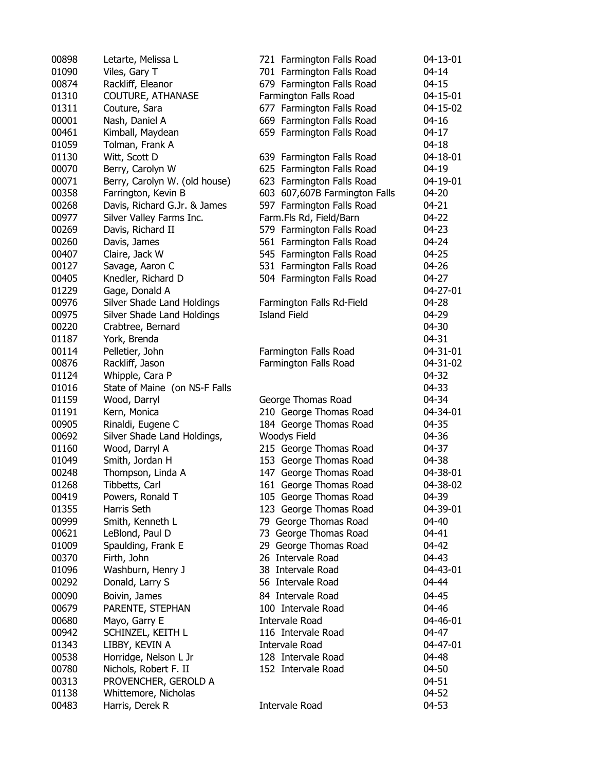| 00898 | Letarte, Melissa L            | 721 Farmington Falls Road     | 04-13-01  |
|-------|-------------------------------|-------------------------------|-----------|
| 01090 | Viles, Gary T                 | 701 Farmington Falls Road     | $04 - 14$ |
| 00874 | Rackliff, Eleanor             | 679 Farmington Falls Road     | $04 - 15$ |
| 01310 | COUTURE, ATHANASE             | Farmington Falls Road         | 04-15-01  |
| 01311 | Couture, Sara                 | 677 Farmington Falls Road     | 04-15-02  |
| 00001 | Nash, Daniel A                | 669 Farmington Falls Road     | $04 - 16$ |
| 00461 | Kimball, Maydean              | 659 Farmington Falls Road     | $04 - 17$ |
| 01059 | Tolman, Frank A               |                               | $04 - 18$ |
| 01130 | Witt, Scott D                 | 639 Farmington Falls Road     | 04-18-01  |
| 00070 |                               |                               |           |
|       | Berry, Carolyn W              | 625 Farmington Falls Road     | 04-19     |
| 00071 | Berry, Carolyn W. (old house) | 623 Farmington Falls Road     | 04-19-01  |
| 00358 | Farrington, Kevin B           | 603 607,607B Farmington Falls | 04-20     |
| 00268 | Davis, Richard G.Jr. & James  | 597 Farmington Falls Road     | 04-21     |
| 00977 | Silver Valley Farms Inc.      | Farm.Fls Rd, Field/Barn       | $04 - 22$ |
| 00269 | Davis, Richard II             | 579 Farmington Falls Road     | 04-23     |
| 00260 | Davis, James                  | 561 Farmington Falls Road     | 04-24     |
| 00407 | Claire, Jack W                | 545 Farmington Falls Road     | $04 - 25$ |
| 00127 | Savage, Aaron C               | 531 Farmington Falls Road     | 04-26     |
| 00405 | Knedler, Richard D            | 504 Farmington Falls Road     | 04-27     |
| 01229 | Gage, Donald A                |                               | 04-27-01  |
| 00976 | Silver Shade Land Holdings    | Farmington Falls Rd-Field     | 04-28     |
| 00975 | Silver Shade Land Holdings    | <b>Island Field</b>           | 04-29     |
| 00220 | Crabtree, Bernard             |                               | 04-30     |
| 01187 | York, Brenda                  |                               | 04-31     |
| 00114 | Pelletier, John               | Farmington Falls Road         | 04-31-01  |
| 00876 | Rackliff, Jason               | Farmington Falls Road         | 04-31-02  |
|       |                               |                               | 04-32     |
| 01124 | Whipple, Cara P               |                               |           |
| 01016 | State of Maine (on NS-F Falls |                               | 04-33     |
| 01159 | Wood, Darryl                  | George Thomas Road            | 04-34     |
| 01191 | Kern, Monica                  | 210 George Thomas Road        | 04-34-01  |
| 00905 | Rinaldi, Eugene C             | 184 George Thomas Road        | 04-35     |
| 00692 | Silver Shade Land Holdings,   | Woodys Field                  | 04-36     |
| 01160 | Wood, Darryl A                | 215 George Thomas Road        | 04-37     |
| 01049 | Smith, Jordan H               | 153 George Thomas Road        | 04-38     |
| 00248 | Thompson, Linda A             | 147 George Thomas Road        | 04-38-01  |
| 01268 | Tibbetts, Carl                | 161 George Thomas Road        | 04-38-02  |
| 00419 | Powers, Ronald T              | 105 George Thomas Road        | 04-39     |
| 01355 | Harris Seth                   | 123 George Thomas Road        | 04-39-01  |
| 00999 | Smith, Kenneth L              | 79 George Thomas Road         | 04-40     |
| 00621 | LeBlond, Paul D               | 73 George Thomas Road         | 04-41     |
| 01009 | Spaulding, Frank E            | 29 George Thomas Road         | 04-42     |
| 00370 | Firth, John                   | 26 Intervale Road             | 04-43     |
| 01096 | Washburn, Henry J             | 38 Intervale Road             | 04-43-01  |
| 00292 | Donald, Larry S               | 56 Intervale Road             | 04-44     |
|       |                               |                               |           |
| 00090 | Boivin, James                 | 84 Intervale Road             | 04-45     |
| 00679 | PARENTE, STEPHAN              | 100 Intervale Road            | 04-46     |
| 00680 | Mayo, Garry E                 | Intervale Road                | 04-46-01  |
| 00942 | SCHINZEL, KEITH L             | 116 Intervale Road            | 04-47     |
| 01343 | LIBBY, KEVIN A                | Intervale Road                | 04-47-01  |
| 00538 | Horridge, Nelson L Jr         | 128 Intervale Road            | 04-48     |
| 00780 | Nichols, Robert F. II         | 152 Intervale Road            | 04-50     |
| 00313 | PROVENCHER, GEROLD A          |                               | 04-51     |
| 01138 | Whittemore, Nicholas          |                               | 04-52     |
| 00483 | Harris, Derek R               | <b>Intervale Road</b>         | 04-53     |
|       |                               |                               |           |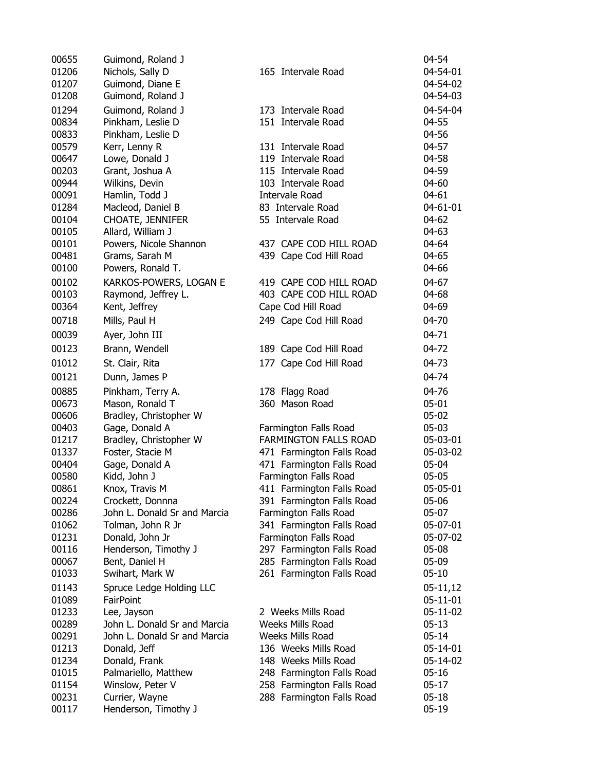| 00655 | Guimond, Roland J            |                              | 04-54          |
|-------|------------------------------|------------------------------|----------------|
| 01206 | Nichols, Sally D             | 165 Intervale Road           | 04-54-01       |
| 01207 | Guimond, Diane E             |                              | 04-54-02       |
| 01208 | Guimond, Roland J            |                              | 04-54-03       |
| 01294 | Guimond, Roland J            | 173 Intervale Road           | 04-54-04       |
| 00834 | Pinkham, Leslie D            | 151 Intervale Road           | 04-55          |
| 00833 | Pinkham, Leslie D            |                              | 04-56          |
| 00579 | Kerr, Lenny R                | 131 Intervale Road           | $04 - 57$      |
| 00647 | Lowe, Donald J               | 119 Intervale Road           | 04-58          |
| 00203 | Grant, Joshua A              | 115 Intervale Road           | 04-59          |
| 00944 | Wilkins, Devin               | 103 Intervale Road           | 04-60          |
| 00091 | Hamlin, Todd J               | Intervale Road               | $04 - 61$      |
| 01284 | Macleod, Daniel B            | 83 Intervale Road            | 04-61-01       |
| 00104 | CHOATE, JENNIFER             | 55 Intervale Road            | 04-62          |
| 00105 | Allard, William J            |                              | 04-63          |
| 00101 | Powers, Nicole Shannon       | 437 CAPE COD HILL ROAD       | 04-64          |
| 00481 | Grams, Sarah M               | 439 Cape Cod Hill Road       | 04-65          |
| 00100 |                              |                              | 04-66          |
|       | Powers, Ronald T.            |                              |                |
| 00102 | KARKOS-POWERS, LOGAN E       | 419 CAPE COD HILL ROAD       | 04-67          |
| 00103 | Raymond, Jeffrey L.          | 403 CAPE COD HILL ROAD       | 04-68          |
| 00364 | Kent, Jeffrey                | Cape Cod Hill Road           | 04-69          |
| 00718 | Mills, Paul H                | 249 Cape Cod Hill Road       | 04-70          |
| 00039 | Ayer, John III               |                              | 04-71          |
| 00123 | Brann, Wendell               | 189 Cape Cod Hill Road       | 04-72          |
| 01012 | St. Clair, Rita              | 177 Cape Cod Hill Road       | 04-73          |
| 00121 | Dunn, James P                |                              | 04-74          |
| 00885 | Pinkham, Terry A.            | 178 Flagg Road               | 04-76          |
| 00673 | Mason, Ronald T              | 360 Mason Road               | $05 - 01$      |
| 00606 | Bradley, Christopher W       |                              | $05-02$        |
| 00403 | Gage, Donald A               | Farmington Falls Road        | $05-03$        |
| 01217 | Bradley, Christopher W       | <b>FARMINGTON FALLS ROAD</b> | 05-03-01       |
| 01337 | Foster, Stacie M             | 471 Farmington Falls Road    | 05-03-02       |
| 00404 | Gage, Donald A               | 471 Farmington Falls Road    | 05-04          |
| 00580 | Kidd, John J                 | Farmington Falls Road        | $05 - 05$      |
| 00861 | Knox, Travis M               | 411 Farmington Falls Road    | 05-05-01       |
| 00224 | Crockett, Donnna             | 391 Farmington Falls Road    | 05-06          |
| 00286 | John L. Donald Sr and Marcia | Farmington Falls Road        | 05-07          |
| 01062 | Tolman, John R Jr            | 341 Farmington Falls Road    | 05-07-01       |
| 01231 | Donald, John Jr              | Farmington Falls Road        | 05-07-02       |
| 00116 | Henderson, Timothy J         | 297 Farmington Falls Road    | 05-08          |
| 00067 | Bent, Daniel H               | 285 Farmington Falls Road    | 05-09          |
| 01033 | Swihart, Mark W              | 261 Farmington Falls Road    | $05 - 10$      |
|       |                              |                              |                |
| 01143 | Spruce Ledge Holding LLC     |                              | 05-11,12       |
| 01089 | FairPoint                    |                              | $05 - 11 - 01$ |
| 01233 | Lee, Jayson                  | 2 Weeks Mills Road           | 05-11-02       |
| 00289 | John L. Donald Sr and Marcia | Weeks Mills Road             | $05 - 13$      |
| 00291 | John L. Donald Sr and Marcia | Weeks Mills Road             | $05 - 14$      |
| 01213 | Donald, Jeff                 | 136 Weeks Mills Road         | 05-14-01       |
| 01234 | Donald, Frank                | 148 Weeks Mills Road         | 05-14-02       |
| 01015 | Palmariello, Matthew         | 248 Farmington Falls Road    | $05 - 16$      |
| 01154 | Winslow, Peter V             | 258 Farmington Falls Road    | $05-17$        |
| 00231 | Currier, Wayne               | 288 Farmington Falls Road    | $05 - 18$      |
| 00117 | Henderson, Timothy J         |                              | $05 - 19$      |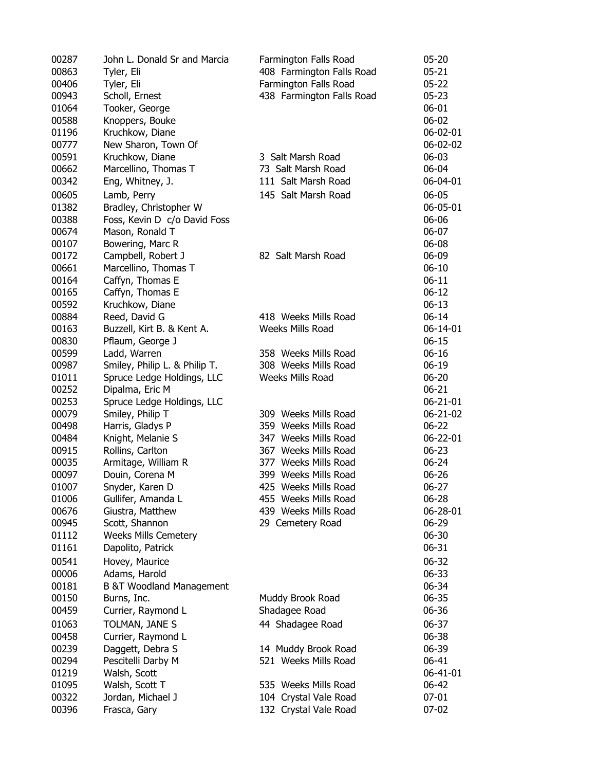| 00287 | John L. Donald Sr and Marcia        | Farmington Falls Road     | $05 - 20$ |
|-------|-------------------------------------|---------------------------|-----------|
| 00863 | Tyler, Eli                          | 408 Farmington Falls Road | $05 - 21$ |
| 00406 | Tyler, Eli                          | Farmington Falls Road     | $05 - 22$ |
| 00943 | Scholl, Ernest                      | 438 Farmington Falls Road | $05 - 23$ |
| 01064 | Tooker, George                      |                           | 06-01     |
| 00588 | Knoppers, Bouke                     |                           | 06-02     |
| 01196 | Kruchkow, Diane                     |                           | 06-02-01  |
| 00777 | New Sharon, Town Of                 |                           | 06-02-02  |
| 00591 | Kruchkow, Diane                     | 3 Salt Marsh Road         | $06 - 03$ |
| 00662 | Marcellino, Thomas T                | 73 Salt Marsh Road        | 06-04     |
| 00342 | Eng, Whitney, J.                    | 111 Salt Marsh Road       | 06-04-01  |
| 00605 | Lamb, Perry                         | 145 Salt Marsh Road       | $06 - 05$ |
| 01382 | Bradley, Christopher W              |                           | 06-05-01  |
| 00388 | Foss, Kevin D c/o David Foss        |                           | 06-06     |
| 00674 | Mason, Ronald T                     |                           | 06-07     |
| 00107 | Bowering, Marc R                    |                           | 06-08     |
| 00172 | Campbell, Robert J                  | 82 Salt Marsh Road        | 06-09     |
| 00661 | Marcellino, Thomas T                |                           | $06 - 10$ |
| 00164 | Caffyn, Thomas E                    |                           | $06 - 11$ |
|       |                                     |                           | $06-12$   |
| 00165 | Caffyn, Thomas E                    |                           | $06-13$   |
| 00592 | Kruchkow, Diane                     |                           |           |
| 00884 | Reed, David G                       | 418 Weeks Mills Road      | $06 - 14$ |
| 00163 | Buzzell, Kirt B. & Kent A.          | <b>Weeks Mills Road</b>   | 06-14-01  |
| 00830 | Pflaum, George J                    |                           | $06 - 15$ |
| 00599 | Ladd, Warren                        | 358 Weeks Mills Road      | 06-16     |
| 00987 | Smiley, Philip L. & Philip T.       | 308 Weeks Mills Road      | $06-19$   |
| 01011 | Spruce Ledge Holdings, LLC          | Weeks Mills Road          | $06 - 20$ |
| 00252 | Dipalma, Eric M                     |                           | 06-21     |
| 00253 | Spruce Ledge Holdings, LLC          |                           | 06-21-01  |
| 00079 | Smiley, Philip T                    | 309 Weeks Mills Road      | 06-21-02  |
| 00498 | Harris, Gladys P                    | 359 Weeks Mills Road      | $06 - 22$ |
| 00484 | Knight, Melanie S                   | 347 Weeks Mills Road      | 06-22-01  |
| 00915 | Rollins, Carlton                    | 367 Weeks Mills Road      | $06 - 23$ |
| 00035 | Armitage, William R                 | 377 Weeks Mills Road      | $06 - 24$ |
| 00097 | Douin, Corena M                     | 399 Weeks Mills Road      | 06-26     |
| 01007 | Snyder, Karen D                     | 425 Weeks Mills Road      | $06 - 27$ |
| 01006 | Gullifer, Amanda L                  | 455 Weeks Mills Road      | 06-28     |
| 00676 | Giustra, Matthew                    | 439 Weeks Mills Road      | 06-28-01  |
| 00945 | Scott, Shannon                      | 29 Cemetery Road          | 06-29     |
| 01112 | <b>Weeks Mills Cemetery</b>         |                           | 06-30     |
| 01161 | Dapolito, Patrick                   |                           | 06-31     |
| 00541 | Hovey, Maurice                      |                           | 06-32     |
| 00006 | Adams, Harold                       |                           | 06-33     |
| 00181 | <b>B &amp;T Woodland Management</b> |                           | 06-34     |
| 00150 | Burns, Inc.                         | Muddy Brook Road          | 06-35     |
| 00459 | Currier, Raymond L                  | Shadagee Road             | 06-36     |
| 01063 | TOLMAN, JANE S                      | 44 Shadagee Road          | 06-37     |
| 00458 | Currier, Raymond L                  |                           | 06-38     |
| 00239 | Daggett, Debra S                    | 14 Muddy Brook Road       | 06-39     |
| 00294 | Pescitelli Darby M                  | 521 Weeks Mills Road      | 06-41     |
| 01219 | Walsh, Scott                        |                           | 06-41-01  |
| 01095 | Walsh, Scott T                      | 535 Weeks Mills Road      | 06-42     |
| 00322 | Jordan, Michael J                   | 104 Crystal Vale Road     | $07 - 01$ |
| 00396 | Frasca, Gary                        | 132 Crystal Vale Road     | 07-02     |
|       |                                     |                           |           |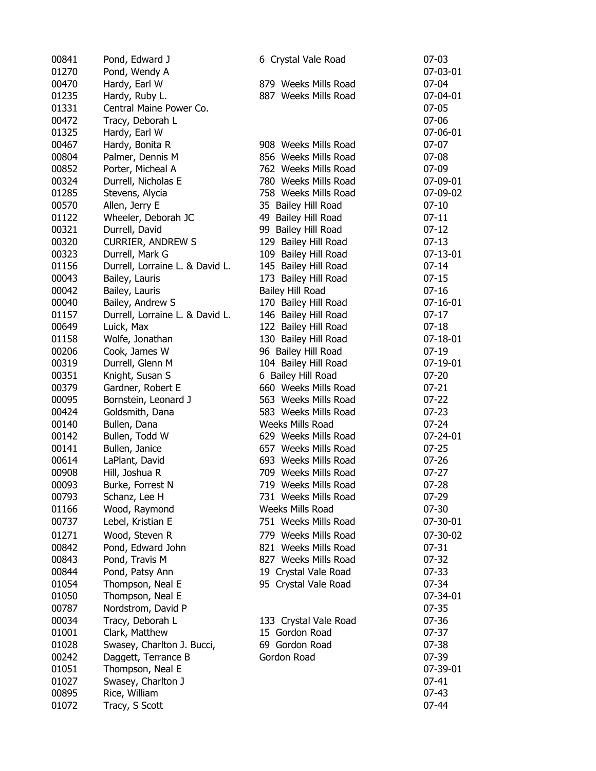| 00841 | Pond, Edward J                  | 6 Crystal Vale Road     | 07-03               |
|-------|---------------------------------|-------------------------|---------------------|
| 01270 | Pond, Wendy A                   |                         | 07-03-01            |
| 00470 | Hardy, Earl W                   | 879 Weeks Mills Road    | $07 - 04$           |
| 01235 | Hardy, Ruby L.                  | 887 Weeks Mills Road    | 07-04-01            |
| 01331 | Central Maine Power Co.         |                         | $07 - 05$           |
| 00472 | Tracy, Deborah L                |                         | 07-06               |
| 01325 | Hardy, Earl W                   |                         | 07-06-01            |
| 00467 | Hardy, Bonita R                 | 908 Weeks Mills Road    | 07-07               |
| 00804 | Palmer, Dennis M                | 856 Weeks Mills Road    | 07-08               |
| 00852 | Porter, Micheal A               | 762 Weeks Mills Road    | 07-09               |
| 00324 | Durrell, Nicholas E             | 780 Weeks Mills Road    | 07-09-01            |
| 01285 | Stevens, Alycia                 | 758 Weeks Mills Road    | 07-09-02            |
| 00570 | Allen, Jerry E                  | 35 Bailey Hill Road     | $07-10$             |
| 01122 | Wheeler, Deborah JC             | 49 Bailey Hill Road     | 07-11               |
| 00321 | Durrell, David                  | 99 Bailey Hill Road     | $07-12$             |
| 00320 | <b>CURRIER, ANDREW S</b>        | 129 Bailey Hill Road    | $07-13$             |
| 00323 | Durrell, Mark G                 | 109 Bailey Hill Road    | 07-13-01            |
| 01156 | Durrell, Lorraine L. & David L. | 145 Bailey Hill Road    | $07 - 14$           |
| 00043 | Bailey, Lauris                  | 173 Bailey Hill Road    | $07 - 15$           |
| 00042 | Bailey, Lauris                  | <b>Bailey Hill Road</b> | $07 - 16$           |
| 00040 |                                 | 170 Bailey Hill Road    |                     |
|       | Bailey, Andrew S                |                         | 07-16-01<br>$07-17$ |
| 01157 | Durrell, Lorraine L. & David L. | 146 Bailey Hill Road    |                     |
| 00649 | Luick, Max                      | 122 Bailey Hill Road    | $07 - 18$           |
| 01158 | Wolfe, Jonathan                 | 130 Bailey Hill Road    | 07-18-01            |
| 00206 | Cook, James W                   | 96 Bailey Hill Road     | $07-19$             |
| 00319 | Durrell, Glenn M                | 104 Bailey Hill Road    | 07-19-01            |
| 00351 | Knight, Susan S                 | 6 Bailey Hill Road      | $07 - 20$           |
| 00379 | Gardner, Robert E               | 660 Weeks Mills Road    | $07 - 21$           |
| 00095 | Bornstein, Leonard J            | 563 Weeks Mills Road    | $07 - 22$           |
| 00424 | Goldsmith, Dana                 | 583 Weeks Mills Road    | $07 - 23$           |
| 00140 | Bullen, Dana                    | Weeks Mills Road        | $07 - 24$           |
| 00142 | Bullen, Todd W                  | 629 Weeks Mills Road    | 07-24-01            |
| 00141 | Bullen, Janice                  | 657 Weeks Mills Road    | $07 - 25$           |
| 00614 | LaPlant, David                  | 693 Weeks Mills Road    | $07 - 26$           |
| 00908 | Hill, Joshua R                  | 709 Weeks Mills Road    | $07 - 27$           |
| 00093 | Burke, Forrest N                | 719 Weeks Mills Road    | $07 - 28$           |
| 00793 | Schanz, Lee H                   | 731 Weeks Mills Road    | 07-29               |
| 01166 | Wood, Raymond                   | Weeks Mills Road        | $07 - 30$           |
| 00737 | Lebel, Kristian E               | 751 Weeks Mills Road    | 07-30-01            |
| 01271 | Wood, Steven R                  | 779 Weeks Mills Road    | 07-30-02            |
| 00842 | Pond, Edward John               | 821 Weeks Mills Road    | 07-31               |
| 00843 | Pond, Travis M                  | 827 Weeks Mills Road    | 07-32               |
| 00844 | Pond, Patsy Ann                 | 19 Crystal Vale Road    | $07 - 33$           |
| 01054 | Thompson, Neal E                | 95 Crystal Vale Road    | 07-34               |
| 01050 | Thompson, Neal E                |                         | 07-34-01            |
| 00787 | Nordstrom, David P              |                         | $07 - 35$           |
| 00034 | Tracy, Deborah L                | 133 Crystal Vale Road   | 07-36               |
| 01001 | Clark, Matthew                  | 15 Gordon Road          | $07 - 37$           |
| 01028 | Swasey, Charlton J. Bucci,      | 69 Gordon Road          | 07-38               |
| 00242 | Daggett, Terrance B             | Gordon Road             | 07-39               |
| 01051 | Thompson, Neal E                |                         | 07-39-01            |
| 01027 | Swasey, Charlton J              |                         | $07 - 41$           |
| 00895 | Rice, William                   |                         | 07-43               |
| 01072 | Tracy, S Scott                  |                         | 07-44               |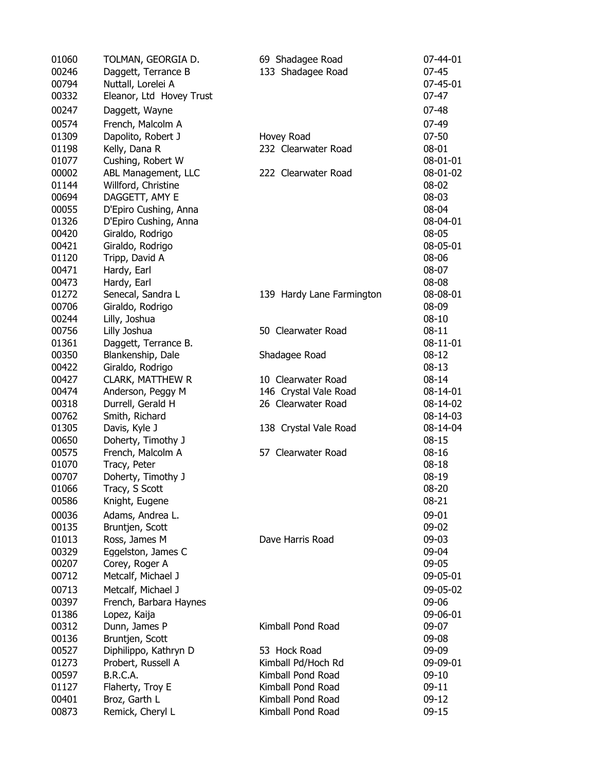| 01060 | TOLMAN, GEORGIA D.       | 69 Shadagee Road          | 07-44-01  |
|-------|--------------------------|---------------------------|-----------|
| 00246 | Daggett, Terrance B      | 133 Shadagee Road         | $07 - 45$ |
| 00794 | Nuttall, Lorelei A       |                           | 07-45-01  |
| 00332 | Eleanor, Ltd Hovey Trust |                           | 07-47     |
| 00247 | Daggett, Wayne           |                           | $07 - 48$ |
|       |                          |                           |           |
| 00574 | French, Malcolm A        |                           | 07-49     |
| 01309 | Dapolito, Robert J       | Hovey Road                | $07 - 50$ |
| 01198 | Kelly, Dana R            | 232 Clearwater Road       | 08-01     |
| 01077 | Cushing, Robert W        |                           | 08-01-01  |
| 00002 | ABL Management, LLC      | 222 Clearwater Road       | 08-01-02  |
| 01144 | Willford, Christine      |                           | 08-02     |
| 00694 | DAGGETT, AMY E           |                           | 08-03     |
| 00055 | D'Epiro Cushing, Anna    |                           | 08-04     |
| 01326 | D'Epiro Cushing, Anna    |                           | 08-04-01  |
| 00420 | Giraldo, Rodrigo         |                           | 08-05     |
| 00421 | Giraldo, Rodrigo         |                           | 08-05-01  |
| 01120 | Tripp, David A           |                           | 08-06     |
| 00471 | Hardy, Earl              |                           | 08-07     |
| 00473 | Hardy, Earl              |                           | 08-08     |
| 01272 | Senecal, Sandra L        | 139 Hardy Lane Farmington | 08-08-01  |
| 00706 | Giraldo, Rodrigo         |                           | 08-09     |
| 00244 | Lilly, Joshua            |                           | $08 - 10$ |
| 00756 | Lilly Joshua             | 50 Clearwater Road        | $08 - 11$ |
| 01361 | Daggett, Terrance B.     |                           | 08-11-01  |
| 00350 | Blankenship, Dale        | Shadagee Road             | $08 - 12$ |
| 00422 | Giraldo, Rodrigo         |                           | $08-13$   |
| 00427 | <b>CLARK, MATTHEW R</b>  | 10 Clearwater Road        | $08 - 14$ |
| 00474 | Anderson, Peggy M        | 146 Crystal Vale Road     | 08-14-01  |
| 00318 | Durrell, Gerald H        | 26 Clearwater Road        | 08-14-02  |
| 00762 | Smith, Richard           |                           | 08-14-03  |
| 01305 | Davis, Kyle J            | 138 Crystal Vale Road     | 08-14-04  |
| 00650 | Doherty, Timothy J       |                           | $08 - 15$ |
| 00575 | French, Malcolm A        | 57 Clearwater Road        | $08 - 16$ |
| 01070 | Tracy, Peter             |                           | $08 - 18$ |
| 00707 | Doherty, Timothy J       |                           | $08-19$   |
| 01066 | Tracy, S Scott           |                           | 08-20     |
| 00586 | Knight, Eugene           |                           | 08-21     |
| 00036 | Adams, Andrea L.         |                           | 09-01     |
| 00135 | Bruntjen, Scott          |                           | 09-02     |
| 01013 | Ross, James M            | Dave Harris Road          | 09-03     |
| 00329 | Eggelston, James C       |                           | 09-04     |
| 00207 | Corey, Roger A           |                           | 09-05     |
| 00712 | Metcalf, Michael J       |                           | 09-05-01  |
| 00713 | Metcalf, Michael J       |                           | 09-05-02  |
| 00397 | French, Barbara Haynes   |                           | 09-06     |
| 01386 | Lopez, Kaija             |                           | 09-06-01  |
| 00312 | Dunn, James P            | Kimball Pond Road         | 09-07     |
| 00136 | Bruntjen, Scott          |                           | 09-08     |
| 00527 | Diphilippo, Kathryn D    | 53 Hock Road              | 09-09     |
| 01273 | Probert, Russell A       | Kimball Pd/Hoch Rd        | 09-09-01  |
| 00597 | B.R.C.A.                 | Kimball Pond Road         | $09-10$   |
| 01127 | Flaherty, Troy E         | Kimball Pond Road         | $09 - 11$ |
| 00401 | Broz, Garth L            | Kimball Pond Road         | 09-12     |
| 00873 | Remick, Cheryl L         | Kimball Pond Road         | $09 - 15$ |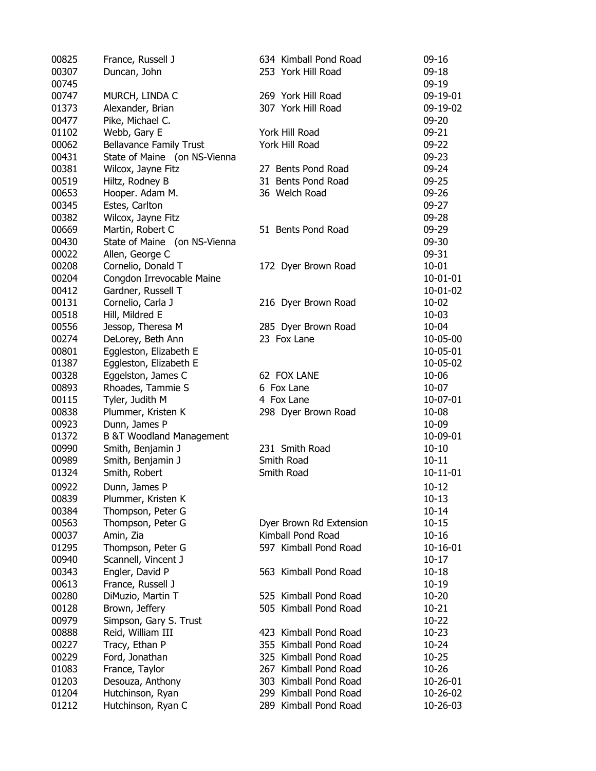| 00825 | France, Russell J                   | 634 Kimball Pond Road   | $09-16$        |
|-------|-------------------------------------|-------------------------|----------------|
| 00307 | Duncan, John                        | 253 York Hill Road      | $09-18$        |
| 00745 |                                     |                         | $09-19$        |
| 00747 | MURCH, LINDA C                      | 269 York Hill Road      | 09-19-01       |
| 01373 | Alexander, Brian                    | 307 York Hill Road      | 09-19-02       |
| 00477 | Pike, Michael C.                    |                         | 09-20          |
| 01102 | Webb, Gary E                        | York Hill Road          | $09 - 21$      |
| 00062 | <b>Bellavance Family Trust</b>      | York Hill Road          | $09 - 22$      |
| 00431 | State of Maine (on NS-Vienna        |                         | $09 - 23$      |
| 00381 | Wilcox, Jayne Fitz                  | 27 Bents Pond Road      | 09-24          |
| 00519 | Hiltz, Rodney B                     | 31 Bents Pond Road      | $09 - 25$      |
| 00653 | Hooper. Adam M.                     | 36 Welch Road           | 09-26          |
| 00345 | Estes, Carlton                      |                         | $09 - 27$      |
| 00382 | Wilcox, Jayne Fitz                  |                         | 09-28          |
| 00669 | Martin, Robert C                    | 51 Bents Pond Road      | 09-29          |
| 00430 |                                     |                         | $09 - 30$      |
|       | State of Maine (on NS-Vienna        |                         |                |
| 00022 | Allen, George C                     |                         | 09-31          |
| 00208 | Cornelio, Donald T                  | 172 Dyer Brown Road     | $10 - 01$      |
| 00204 | Congdon Irrevocable Maine           |                         | $10 - 01 - 01$ |
| 00412 | Gardner, Russell T                  |                         | $10 - 01 - 02$ |
| 00131 | Cornelio, Carla J                   | 216 Dyer Brown Road     | $10 - 02$      |
| 00518 | Hill, Mildred E                     |                         | $10 - 03$      |
| 00556 | Jessop, Theresa M                   | 285 Dyer Brown Road     | 10-04          |
| 00274 | DeLorey, Beth Ann                   | 23 Fox Lane             | 10-05-00       |
| 00801 | Eggleston, Elizabeth E              |                         | 10-05-01       |
| 01387 | Eggleston, Elizabeth E              |                         | 10-05-02       |
| 00328 | Eggelston, James C                  | 62 FOX LANE             | 10-06          |
| 00893 | Rhoades, Tammie S                   | 6 Fox Lane              | $10-07$        |
| 00115 | Tyler, Judith M                     | 4 Fox Lane              | 10-07-01       |
| 00838 | Plummer, Kristen K                  | 298 Dyer Brown Road     | $10 - 08$      |
| 00923 | Dunn, James P                       |                         | 10-09          |
| 01372 | <b>B &amp;T Woodland Management</b> |                         | 10-09-01       |
| 00990 | Smith, Benjamin J                   | 231 Smith Road          | $10 - 10$      |
| 00989 | Smith, Benjamin J                   | Smith Road              | $10 - 11$      |
| 01324 | Smith, Robert                       | Smith Road              | $10 - 11 - 01$ |
| 00922 | Dunn, James P                       |                         | $10 - 12$      |
| 00839 | Plummer, Kristen K                  |                         | $10-13$        |
| 00384 | Thompson, Peter G                   |                         | $10 - 14$      |
| 00563 | Thompson, Peter G                   | Dyer Brown Rd Extension | $10 - 15$      |
| 00037 | Amin, Zia                           | Kimball Pond Road       | $10 - 16$      |
| 01295 | Thompson, Peter G                   | 597 Kimball Pond Road   | 10-16-01       |
| 00940 | Scannell, Vincent J                 |                         | $10 - 17$      |
| 00343 | Engler, David P                     | 563 Kimball Pond Road   | $10 - 18$      |
| 00613 | France, Russell J                   |                         | $10 - 19$      |
| 00280 | DiMuzio, Martin T                   | 525 Kimball Pond Road   | $10 - 20$      |
| 00128 | Brown, Jeffery                      | 505 Kimball Pond Road   | $10 - 21$      |
| 00979 | Simpson, Gary S. Trust              |                         | $10 - 22$      |
| 00888 | Reid, William III                   | 423 Kimball Pond Road   | $10 - 23$      |
| 00227 | Tracy, Ethan P                      | 355 Kimball Pond Road   | $10 - 24$      |
| 00229 | Ford, Jonathan                      | 325 Kimball Pond Road   | $10 - 25$      |
| 01083 |                                     | 267 Kimball Pond Road   |                |
|       | France, Taylor                      | 303 Kimball Pond Road   | $10 - 26$      |
| 01203 | Desouza, Anthony                    | 299 Kimball Pond Road   | 10-26-01       |
| 01204 | Hutchinson, Ryan                    |                         | 10-26-02       |
| 01212 | Hutchinson, Ryan C                  | 289 Kimball Pond Road   | 10-26-03       |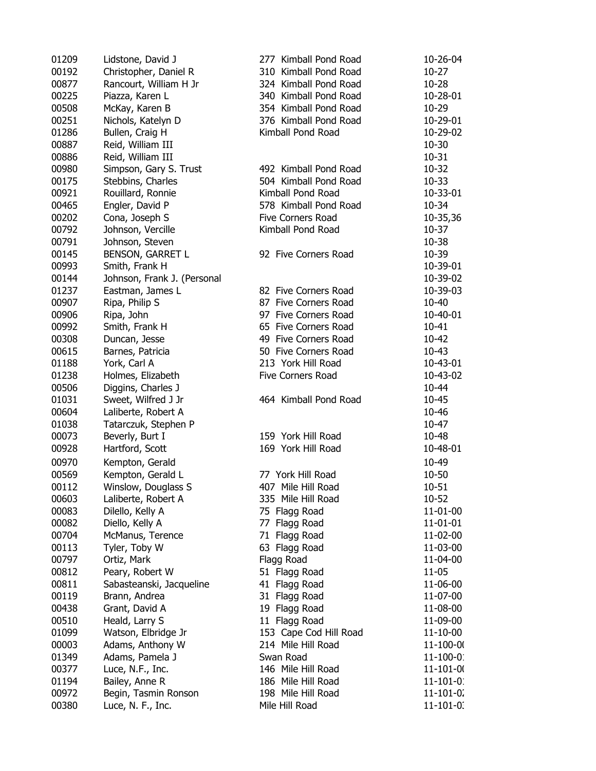| 01209 | Lidstone, David J           | 277 Kimball Pond Road  | 10-26-04        |
|-------|-----------------------------|------------------------|-----------------|
| 00192 | Christopher, Daniel R       | 310 Kimball Pond Road  | $10-27$         |
| 00877 | Rancourt, William H Jr      | 324 Kimball Pond Road  | $10 - 28$       |
| 00225 | Piazza, Karen L             | 340 Kimball Pond Road  | 10-28-01        |
| 00508 | McKay, Karen B              | 354 Kimball Pond Road  | $10 - 29$       |
| 00251 | Nichols, Katelyn D          | 376 Kimball Pond Road  | 10-29-01        |
| 01286 | Bullen, Craig H             | Kimball Pond Road      | 10-29-02        |
| 00887 | Reid, William III           |                        | 10-30           |
| 00886 | Reid, William III           |                        | $10 - 31$       |
| 00980 | Simpson, Gary S. Trust      | 492 Kimball Pond Road  | $10 - 32$       |
| 00175 | Stebbins, Charles           | 504 Kimball Pond Road  | $10-33$         |
| 00921 | Rouillard, Ronnie           | Kimball Pond Road      | 10-33-01        |
| 00465 | Engler, David P             | 578 Kimball Pond Road  | 10-34           |
| 00202 | Cona, Joseph S              | Five Corners Road      | 10-35,36        |
| 00792 | Johnson, Vercille           | Kimball Pond Road      | $10-37$         |
| 00791 | Johnson, Steven             |                        | 10-38           |
| 00145 | BENSON, GARRET L            | 92 Five Corners Road   | 10-39           |
| 00993 | Smith, Frank H              |                        | 10-39-01        |
| 00144 | Johnson, Frank J. (Personal |                        | 10-39-02        |
| 01237 | Eastman, James L            | 82 Five Corners Road   | 10-39-03        |
| 00907 | Ripa, Philip S              | 87 Five Corners Road   | 10-40           |
| 00906 | Ripa, John                  | 97 Five Corners Road   | 10-40-01        |
| 00992 | Smith, Frank H              | 65 Five Corners Road   | 10-41           |
| 00308 | Duncan, Jesse               | 49 Five Corners Road   | 10-42           |
| 00615 | Barnes, Patricia            | 50 Five Corners Road   | $10 - 43$       |
| 01188 |                             | 213 York Hill Road     | 10-43-01        |
|       | York, Carl A                |                        |                 |
| 01238 | Holmes, Elizabeth           | Five Corners Road      | 10-43-02        |
| 00506 | Diggins, Charles J          |                        | 10-44           |
| 01031 | Sweet, Wilfred J Jr         | 464 Kimball Pond Road  | 10-45           |
| 00604 | Laliberte, Robert A         |                        | 10-46           |
| 01038 | Tatarczuk, Stephen P        |                        | $10 - 47$       |
| 00073 | Beverly, Burt I             | 159 York Hill Road     | 10-48           |
| 00928 | Hartford, Scott             | 169 York Hill Road     | 10-48-01        |
| 00970 | Kempton, Gerald             |                        | 10-49           |
| 00569 | Kempton, Gerald L           | 77 York Hill Road      | 10-50           |
| 00112 | Winslow, Douglass S         | 407 Mile Hill Road     | 10-51           |
| 00603 | Laliberte, Robert A         | 335 Mile Hill Road     | $10 - 52$       |
| 00083 | Dilello, Kelly A            | 75 Flagg Road          | 11-01-00        |
| 00082 | Diello, Kelly A             | 77 Flagg Road          | 11-01-01        |
| 00704 | McManus, Terence            | 71 Flagg Road          | 11-02-00        |
| 00113 | Tyler, Toby W               | 63 Flagg Road          | 11-03-00        |
| 00797 | Ortiz, Mark                 | Flagg Road             | 11-04-00        |
| 00812 | Peary, Robert W             | 51 Flagg Road          | 11-05           |
| 00811 | Sabasteanski, Jacqueline    | 41 Flagg Road          | 11-06-00        |
| 00119 | Brann, Andrea               | 31 Flagg Road          | 11-07-00        |
| 00438 | Grant, David A              | 19 Flagg Road          | 11-08-00        |
| 00510 | Heald, Larry S              | 11 Flagg Road          | 11-09-00        |
| 01099 | Watson, Elbridge Jr         | 153 Cape Cod Hill Road | 11-10-00        |
| 00003 | Adams, Anthony W            | 214 Mile Hill Road     | 11-100-00       |
| 01349 | Adams, Pamela J             | Swan Road              | $11 - 100 - 0$  |
| 00377 | Luce, N.F., Inc.            | 146 Mile Hill Road     | $11 - 101 - 00$ |
| 01194 | Bailey, Anne R              | 186 Mile Hill Road     | $11 - 101 - 0$  |
| 00972 | Begin, Tasmin Ronson        | 198 Mile Hill Road     | $11 - 101 - 0.$ |
| 00380 | Luce, N. F., Inc.           | Mile Hill Road         | $11 - 101 - 0.$ |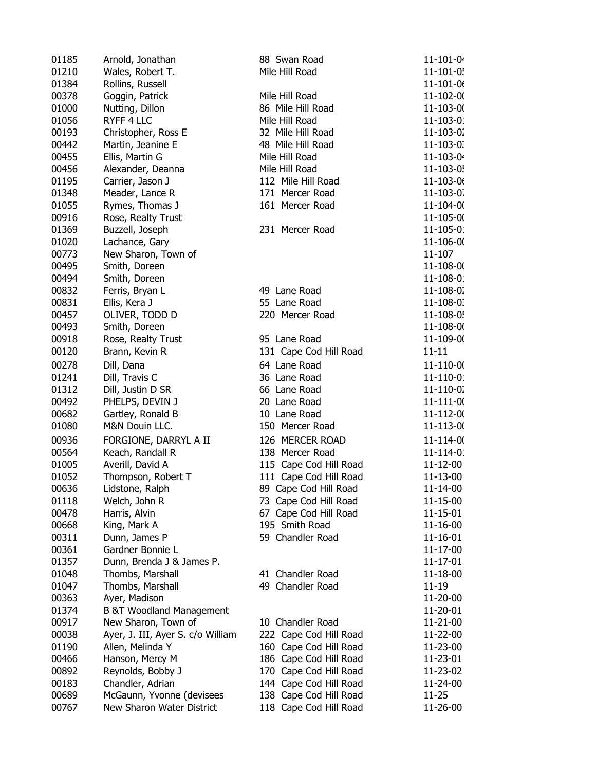| 01185 | Arnold, Jonathan                    | 88 Swan Road           | $11 - 101 - 0$  |
|-------|-------------------------------------|------------------------|-----------------|
| 01210 | Wales, Robert T.                    | Mile Hill Road         | $11 - 101 - 0!$ |
| 01384 | Rollins, Russell                    |                        | $11 - 101 - 00$ |
| 00378 | Goggin, Patrick                     | Mile Hill Road         | 11-102-00       |
| 01000 | Nutting, Dillon                     | 86 Mile Hill Road      | 11-103-00       |
| 01056 | RYFF 4 LLC                          | Mile Hill Road         | $11 - 103 - 0$  |
| 00193 | Christopher, Ross E                 | 32 Mile Hill Road      | 11-103-0.       |
| 00442 | Martin, Jeanine E                   | 48 Mile Hill Road      | $11 - 103 - 0.$ |
| 00455 | Ellis, Martin G                     | Mile Hill Road         | 11-103-04       |
| 00456 | Alexander, Deanna                   | Mile Hill Road         | 11-103-0!       |
| 01195 | Carrier, Jason J                    | 112 Mile Hill Road     | 11-103-0(       |
| 01348 | Meader, Lance R                     | 171 Mercer Road        | $11 - 103 - 0.$ |
| 01055 | Rymes, Thomas J                     | 161 Mercer Road        | 11-104-00       |
| 00916 | Rose, Realty Trust                  |                        | 11-105-00       |
| 01369 | Buzzell, Joseph                     | 231 Mercer Road        | $11 - 105 - 0$  |
| 01020 | Lachance, Gary                      |                        | 11-106-00       |
| 00773 | New Sharon, Town of                 |                        | 11-107          |
| 00495 | Smith, Doreen                       |                        | 11-108-00       |
| 00494 | Smith, Doreen                       |                        | $11 - 108 - 0$  |
| 00832 | Ferris, Bryan L                     | 49 Lane Road           | 11-108-0.       |
| 00831 | Ellis, Kera J                       | 55 Lane Road           | $11 - 108 - 0.$ |
| 00457 | OLIVER, TODD D                      | 220 Mercer Road        | $11 - 108 - 0!$ |
| 00493 | Smith, Doreen                       |                        | 11-108-0(       |
| 00918 | Rose, Realty Trust                  | 95 Lane Road           | 11-109-00       |
| 00120 | Brann, Kevin R                      | 131 Cape Cod Hill Road | $11 - 11$       |
|       |                                     |                        |                 |
| 00278 | Dill, Dana                          | 64 Lane Road           | 11-110-00       |
| 01241 | Dill, Travis C                      | 36 Lane Road           | $11 - 110 - 0$  |
| 01312 | Dill, Justin D SR                   | 66 Lane Road           | $11 - 110 - 0.$ |
| 00492 | PHELPS, DEVIN J                     | 20 Lane Road           | $11 - 111 - 0($ |
| 00682 | Gartley, Ronald B                   | 10 Lane Road           | 11-112-00       |
| 01080 | M&N Douin LLC.                      | 150 Mercer Road        | 11-113-00       |
| 00936 | FORGIONE, DARRYL A II               | 126 MERCER ROAD        | 11-114-00       |
| 00564 | Keach, Randall R                    | 138 Mercer Road        | $11 - 114 - 0$  |
| 01005 | Averill, David A                    | 115 Cape Cod Hill Road | 11-12-00        |
| 01052 | Thompson, Robert T                  | 111 Cape Cod Hill Road | 11-13-00        |
| 00636 | Lidstone, Ralph                     | 89 Cape Cod Hill Road  | 11-14-00        |
| 01118 | Welch, John R                       | 73 Cape Cod Hill Road  | 11-15-00        |
| 00478 | Harris, Alvin                       | 67 Cape Cod Hill Road  | 11-15-01        |
| 00668 | King, Mark A                        | 195 Smith Road         | 11-16-00        |
| 00311 | Dunn, James P                       | 59 Chandler Road       | 11-16-01        |
| 00361 | Gardner Bonnie L                    |                        | 11-17-00        |
| 01357 | Dunn, Brenda J & James P.           |                        | 11-17-01        |
| 01048 | Thombs, Marshall                    | 41 Chandler Road       | 11-18-00        |
| 01047 | Thombs, Marshall                    | 49 Chandler Road       | $11 - 19$       |
| 00363 | Ayer, Madison                       |                        | 11-20-00        |
| 01374 | <b>B &amp;T Woodland Management</b> |                        | 11-20-01        |
| 00917 | New Sharon, Town of                 | 10 Chandler Road       | 11-21-00        |
| 00038 | Ayer, J. III, Ayer S. c/o William   | 222 Cape Cod Hill Road | 11-22-00        |
| 01190 | Allen, Melinda Y                    | 160 Cape Cod Hill Road | 11-23-00        |
| 00466 | Hanson, Mercy M                     | 186 Cape Cod Hill Road | 11-23-01        |
| 00892 | Reynolds, Bobby J                   | 170 Cape Cod Hill Road | 11-23-02        |
| 00183 | Chandler, Adrian                    | 144 Cape Cod Hill Road | 11-24-00        |
| 00689 | McGaunn, Yvonne (devisees           | 138 Cape Cod Hill Road | $11 - 25$       |
| 00767 | New Sharon Water District           | 118 Cape Cod Hill Road | 11-26-00        |
|       |                                     |                        |                 |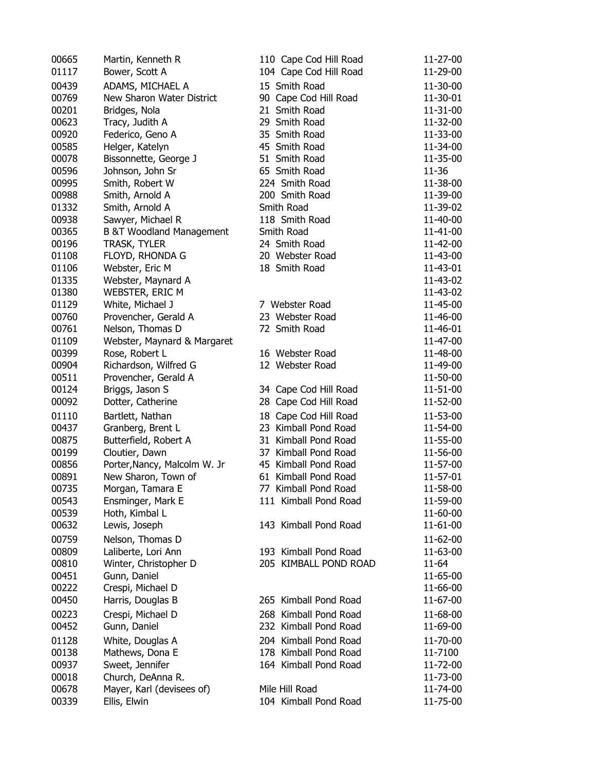| 00665 | Martin, Kenneth R                   | 110 Cape Cod Hill Road | 11-27-00  |
|-------|-------------------------------------|------------------------|-----------|
| 01117 | Bower, Scott A                      | 104 Cape Cod Hill Road | 11-29-00  |
| 00439 | ADAMS, MICHAEL A                    | 15 Smith Road          | 11-30-00  |
| 00769 | New Sharon Water District           | 90 Cape Cod Hill Road  | 11-30-01  |
| 00201 | Bridges, Nola                       | Smith Road<br>21       | 11-31-00  |
| 00623 | Tracy, Judith A                     | 29 Smith Road          | 11-32-00  |
| 00920 | Federico, Geno A                    | 35 Smith Road          | 11-33-00  |
| 00585 | Helger, Katelyn                     | 45 Smith Road          | 11-34-00  |
| 00078 | Bissonnette, George J               | 51 Smith Road          | 11-35-00  |
| 00596 | Johnson, John Sr                    | 65 Smith Road          | 11-36     |
| 00995 | Smith, Robert W                     | 224 Smith Road         | 11-38-00  |
| 00988 | Smith, Arnold A                     | 200 Smith Road         | 11-39-00  |
| 01332 | Smith, Arnold A                     | Smith Road             | 11-39-02  |
|       |                                     | 118 Smith Road         | 11-40-00  |
| 00938 | Sawyer, Michael R                   |                        |           |
| 00365 | <b>B &amp;T Woodland Management</b> | Smith Road             | 11-41-00  |
| 00196 | TRASK, TYLER                        | 24 Smith Road          | 11-42-00  |
| 01108 | FLOYD, RHONDA G                     | 20 Webster Road        | 11-43-00  |
| 01106 | Webster, Eric M                     | 18 Smith Road          | 11-43-01  |
| 01335 | Webster, Maynard A                  |                        | 11-43-02  |
| 01380 | <b>WEBSTER, ERIC M</b>              |                        | 11-43-02  |
| 01129 | White, Michael J                    | 7 Webster Road         | 11-45-00  |
| 00760 | Provencher, Gerald A                | 23 Webster Road        | 11-46-00  |
| 00761 | Nelson, Thomas D                    | 72 Smith Road          | 11-46-01  |
| 01109 | Webster, Maynard & Margaret         |                        | 11-47-00  |
| 00399 | Rose, Robert L                      | 16 Webster Road        | 11-48-00  |
| 00904 | Richardson, Wilfred G               | 12 Webster Road        | 11-49-00  |
| 00511 | Provencher, Gerald A                |                        | 11-50-00  |
| 00124 | Briggs, Jason S                     | 34 Cape Cod Hill Road  | 11-51-00  |
| 00092 | Dotter, Catherine                   | 28 Cape Cod Hill Road  | 11-52-00  |
| 01110 | Bartlett, Nathan                    | 18 Cape Cod Hill Road  | 11-53-00  |
| 00437 | Granberg, Brent L                   | 23 Kimball Pond Road   | 11-54-00  |
| 00875 | Butterfield, Robert A               | 31 Kimball Pond Road   | 11-55-00  |
| 00199 | Cloutier, Dawn                      | 37 Kimball Pond Road   | 11-56-00  |
| 00856 | Porter, Nancy, Malcolm W. Jr        | 45 Kimball Pond Road   | 11-57-00  |
| 00891 | New Sharon, Town of                 | 61 Kimball Pond Road   | 11-57-01  |
| 00735 | Morgan, Tamara E                    | 77 Kimball Pond Road   | 11-58-00  |
| 00543 | Ensminger, Mark E                   | 111 Kimball Pond Road  | 11-59-00  |
| 00539 | Hoth, Kimbal L                      |                        | 11-60-00  |
| 00632 | Lewis, Joseph                       | 143 Kimball Pond Road  | 11-61-00  |
|       |                                     |                        |           |
| 00759 | Nelson, Thomas D                    |                        | 11-62-00  |
| 00809 | Laliberte, Lori Ann                 | 193 Kimball Pond Road  | 11-63-00  |
| 00810 | Winter, Christopher D               | 205 KIMBALL POND ROAD  | $11 - 64$ |
| 00451 | Gunn, Daniel                        |                        | 11-65-00  |
| 00222 | Crespi, Michael D                   |                        | 11-66-00  |
| 00450 | Harris, Douglas B                   | 265 Kimball Pond Road  | 11-67-00  |
| 00223 | Crespi, Michael D                   | 268 Kimball Pond Road  | 11-68-00  |
| 00452 | Gunn, Daniel                        | 232 Kimball Pond Road  | 11-69-00  |
| 01128 | White, Douglas A                    | 204 Kimball Pond Road  | 11-70-00  |
| 00138 | Mathews, Dona E                     | 178 Kimball Pond Road  | 11-7100   |
| 00937 | Sweet, Jennifer                     | 164 Kimball Pond Road  | 11-72-00  |
| 00018 | Church, DeAnna R.                   |                        | 11-73-00  |
| 00678 | Mayer, Karl (devisees of)           | Mile Hill Road         | 11-74-00  |
| 00339 | Ellis, Elwin                        | 104 Kimball Pond Road  | 11-75-00  |
|       |                                     |                        |           |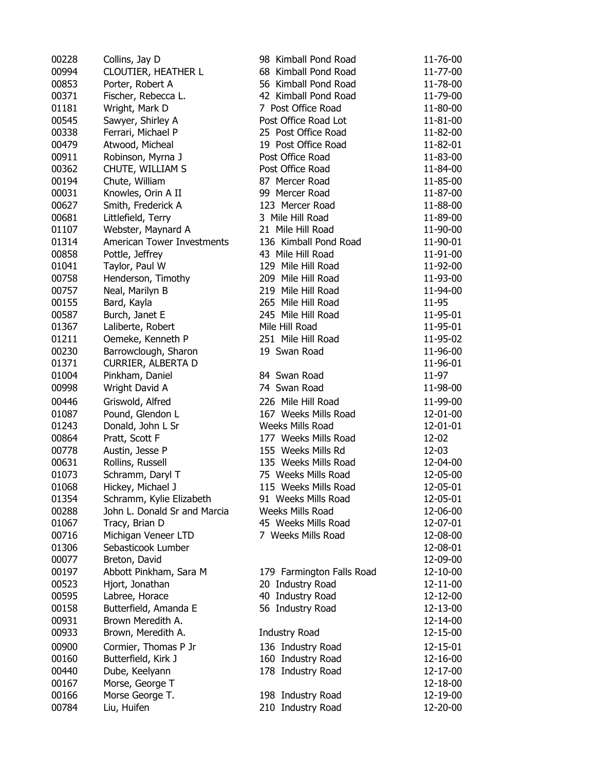| 00228 | Collins, Jay D                    | 98 Kimball Pond Road      | 11-76-00 |
|-------|-----------------------------------|---------------------------|----------|
| 00994 | <b>CLOUTIER, HEATHER L</b>        | 68 Kimball Pond Road      | 11-77-00 |
| 00853 | Porter, Robert A                  | 56 Kimball Pond Road      | 11-78-00 |
| 00371 | Fischer, Rebecca L.               | 42 Kimball Pond Road      | 11-79-00 |
| 01181 | Wright, Mark D                    | 7 Post Office Road        | 11-80-00 |
| 00545 | Sawyer, Shirley A                 | Post Office Road Lot      | 11-81-00 |
| 00338 | Ferrari, Michael P                | 25 Post Office Road       | 11-82-00 |
| 00479 | Atwood, Micheal                   | 19 Post Office Road       | 11-82-01 |
| 00911 | Robinson, Myrna J                 | Post Office Road          | 11-83-00 |
| 00362 | CHUTE, WILLIAM S                  | Post Office Road          | 11-84-00 |
| 00194 | Chute, William                    | 87 Mercer Road            | 11-85-00 |
| 00031 | Knowles, Orin A II                | 99 Mercer Road            | 11-87-00 |
| 00627 | Smith, Frederick A                | 123 Mercer Road           | 11-88-00 |
| 00681 | Littlefield, Terry                | 3 Mile Hill Road          | 11-89-00 |
| 01107 | Webster, Maynard A                | 21 Mile Hill Road         | 11-90-00 |
| 01314 | <b>American Tower Investments</b> | 136 Kimball Pond Road     | 11-90-01 |
| 00858 | Pottle, Jeffrey                   | 43 Mile Hill Road         | 11-91-00 |
| 01041 | Taylor, Paul W                    | 129 Mile Hill Road        | 11-92-00 |
| 00758 | Henderson, Timothy                | 209 Mile Hill Road        | 11-93-00 |
| 00757 | Neal, Marilyn B                   | 219 Mile Hill Road        | 11-94-00 |
| 00155 | Bard, Kayla                       | 265 Mile Hill Road        | 11-95    |
| 00587 | Burch, Janet E                    | 245 Mile Hill Road        | 11-95-01 |
| 01367 | Laliberte, Robert                 | Mile Hill Road            | 11-95-01 |
| 01211 | Oemeke, Kenneth P                 | 251 Mile Hill Road        | 11-95-02 |
| 00230 | Barrowclough, Sharon              | 19 Swan Road              | 11-96-00 |
| 01371 | CURRIER, ALBERTA D                |                           | 11-96-01 |
| 01004 | Pinkham, Daniel                   | 84 Swan Road              | 11-97    |
| 00998 | Wright David A                    | 74 Swan Road              | 11-98-00 |
|       |                                   |                           |          |
| 00446 | Griswold, Alfred                  | 226 Mile Hill Road        | 11-99-00 |
| 01087 | Pound, Glendon L                  | 167 Weeks Mills Road      | 12-01-00 |
| 01243 | Donald, John L Sr                 | <b>Weeks Mills Road</b>   | 12-01-01 |
| 00864 | Pratt, Scott F                    | 177 Weeks Mills Road      | 12-02    |
| 00778 | Austin, Jesse P                   | 155 Weeks Mills Rd        | 12-03    |
| 00631 | Rollins, Russell                  | 135 Weeks Mills Road      | 12-04-00 |
| 01073 | Schramm, Daryl T                  | 75 Weeks Mills Road       | 12-05-00 |
| 01068 | Hickey, Michael J                 | 115 Weeks Mills Road      | 12-05-01 |
| 01354 | Schramm, Kylie Elizabeth          | 91 Weeks Mills Road       | 12-05-01 |
| 00288 | John L. Donald Sr and Marcia      | <b>Weeks Mills Road</b>   | 12-06-00 |
| 01067 | Tracy, Brian D                    | 45 Weeks Mills Road       | 12-07-01 |
| 00716 | Michigan Veneer LTD               | 7 Weeks Mills Road        | 12-08-00 |
| 01306 | Sebasticook Lumber                |                           | 12-08-01 |
| 00077 | Breton, David                     |                           | 12-09-00 |
| 00197 | Abbott Pinkham, Sara M            | 179 Farmington Falls Road | 12-10-00 |
| 00523 | Hjort, Jonathan                   | 20 Industry Road          | 12-11-00 |
| 00595 | Labree, Horace                    | 40 Industry Road          | 12-12-00 |
| 00158 | Butterfield, Amanda E             | 56 Industry Road          | 12-13-00 |
| 00931 | Brown Meredith A.                 |                           | 12-14-00 |
| 00933 | Brown, Meredith A.                | <b>Industry Road</b>      | 12-15-00 |
| 00900 | Cormier, Thomas P Jr              | 136 Industry Road         | 12-15-01 |
| 00160 | Butterfield, Kirk J               | 160 Industry Road         | 12-16-00 |
| 00440 | Dube, Keelyann                    | 178 Industry Road         | 12-17-00 |
| 00167 | Morse, George T                   |                           | 12-18-00 |
| 00166 | Morse George T.                   | 198 Industry Road         | 12-19-00 |
| 00784 | Liu, Huifen                       | 210 Industry Road         | 12-20-00 |
|       |                                   |                           |          |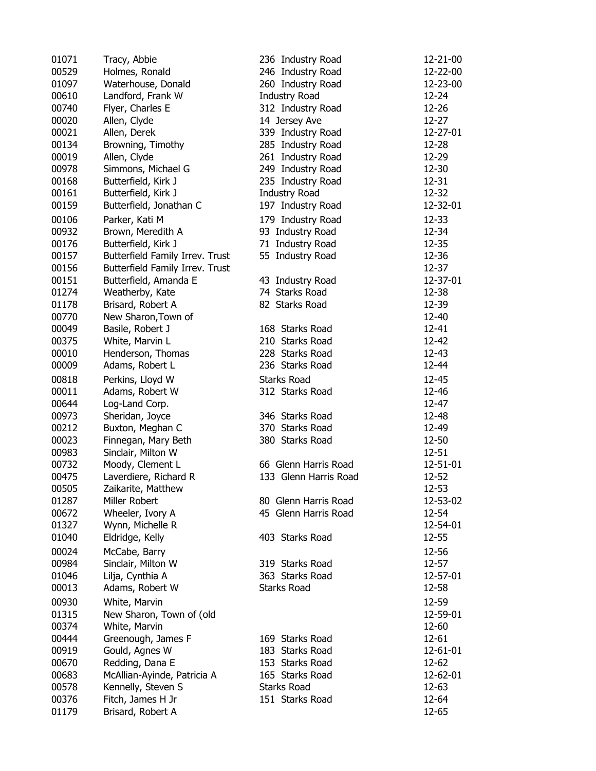| 01071 | Tracy, Abbie                    | 236 Industry Road     | 12-21-00  |
|-------|---------------------------------|-----------------------|-----------|
| 00529 | Holmes, Ronald                  | 246 Industry Road     | 12-22-00  |
| 01097 | Waterhouse, Donald              | 260 Industry Road     | 12-23-00  |
| 00610 | Landford, Frank W               | <b>Industry Road</b>  | 12-24     |
| 00740 | Flyer, Charles E                | 312 Industry Road     | 12-26     |
| 00020 | Allen, Clyde                    | 14 Jersey Ave         | $12 - 27$ |
| 00021 | Allen, Derek                    | 339 Industry Road     | 12-27-01  |
| 00134 | Browning, Timothy               | 285 Industry Road     | 12-28     |
| 00019 | Allen, Clyde                    | 261 Industry Road     | 12-29     |
| 00978 | Simmons, Michael G              | 249 Industry Road     | 12-30     |
| 00168 | Butterfield, Kirk J             | 235 Industry Road     | 12-31     |
| 00161 | Butterfield, Kirk J             | <b>Industry Road</b>  | 12-32     |
| 00159 | Butterfield, Jonathan C         | 197 Industry Road     | 12-32-01  |
| 00106 | Parker, Kati M                  | 179 Industry Road     | $12 - 33$ |
| 00932 | Brown, Meredith A               | 93 Industry Road      | 12-34     |
| 00176 | Butterfield, Kirk J             | 71 Industry Road      | 12-35     |
| 00157 | Butterfield Family Irrev. Trust | 55 Industry Road      | 12-36     |
| 00156 | Butterfield Family Irrev. Trust |                       | 12-37     |
| 00151 | Butterfield, Amanda E           | 43 Industry Road      | 12-37-01  |
| 01274 | Weatherby, Kate                 | 74 Starks Road        | 12-38     |
| 01178 | Brisard, Robert A               | 82 Starks Road        | 12-39     |
| 00770 | New Sharon, Town of             |                       | 12-40     |
| 00049 | Basile, Robert J                | 168 Starks Road       | 12-41     |
| 00375 | White, Marvin L                 | 210 Starks Road       | 12-42     |
| 00010 | Henderson, Thomas               | 228 Starks Road       | 12-43     |
| 00009 |                                 | 236 Starks Road       | 12-44     |
|       | Adams, Robert L                 |                       |           |
| 00818 | Perkins, Lloyd W                | <b>Starks Road</b>    | 12-45     |
| 00011 | Adams, Robert W                 | 312 Starks Road       | 12-46     |
| 00644 | Log-Land Corp.                  |                       | 12-47     |
| 00973 | Sheridan, Joyce                 | 346 Starks Road       | 12-48     |
| 00212 | Buxton, Meghan C                | 370 Starks Road       | 12-49     |
| 00023 | Finnegan, Mary Beth             | 380 Starks Road       | 12-50     |
| 00983 | Sinclair, Milton W              |                       | 12-51     |
| 00732 | Moody, Clement L                | 66 Glenn Harris Road  | 12-51-01  |
| 00475 | Laverdiere, Richard R           | 133 Glenn Harris Road | 12-52     |
| 00505 | Zaikarite, Matthew              |                       | 12-53     |
| 01287 | Miller Robert                   | 80 Glenn Harris Road  | 12-53-02  |
| 00672 | Wheeler, Ivory A                | 45 Glenn Harris Road  | 12-54     |
| 01327 | Wynn, Michelle R                |                       | 12-54-01  |
| 01040 | Eldridge, Kelly                 | 403 Starks Road       | 12-55     |
| 00024 | McCabe, Barry                   |                       | 12-56     |
| 00984 | Sinclair, Milton W              | 319 Starks Road       | $12 - 57$ |
| 01046 | Lilja, Cynthia A                | 363 Starks Road       | 12-57-01  |
| 00013 | Adams, Robert W                 | <b>Starks Road</b>    | 12-58     |
| 00930 | White, Marvin                   |                       | 12-59     |
| 01315 | New Sharon, Town of (old        |                       | 12-59-01  |
| 00374 | White, Marvin                   |                       | 12-60     |
| 00444 | Greenough, James F              | 169 Starks Road       | 12-61     |
| 00919 | Gould, Agnes W                  | 183 Starks Road       | 12-61-01  |
| 00670 | Redding, Dana E                 | 153 Starks Road       | 12-62     |
| 00683 | McAllian-Ayinde, Patricia A     | 165 Starks Road       | 12-62-01  |
| 00578 | Kennelly, Steven S              | <b>Starks Road</b>    | 12-63     |
| 00376 | Fitch, James H Jr               | 151 Starks Road       | 12-64     |
| 01179 | Brisard, Robert A               |                       | 12-65     |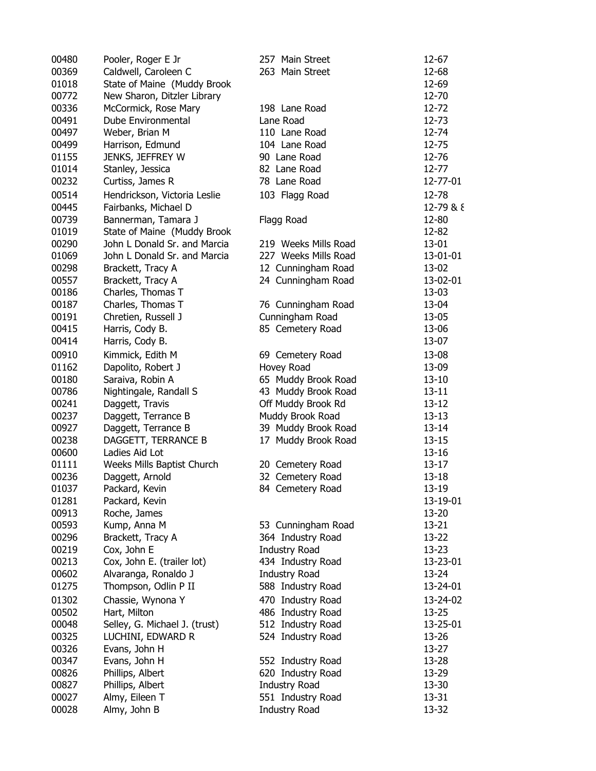| 00480 | Pooler, Roger E Jr            | 257 Main Street      | 12-67     |
|-------|-------------------------------|----------------------|-----------|
| 00369 | Caldwell, Caroleen C          | 263 Main Street      | 12-68     |
| 01018 | State of Maine (Muddy Brook   |                      | 12-69     |
| 00772 | New Sharon, Ditzler Library   |                      | 12-70     |
| 00336 | McCormick, Rose Mary          | 198 Lane Road        | 12-72     |
| 00491 | Dube Environmental            | Lane Road            | 12-73     |
| 00497 | Weber, Brian M                | 110 Lane Road        | 12-74     |
| 00499 | Harrison, Edmund              | 104 Lane Road        | 12-75     |
| 01155 | JENKS, JEFFREY W              | 90 Lane Road         | 12-76     |
| 01014 | Stanley, Jessica              | 82 Lane Road         | 12-77     |
| 00232 | Curtiss, James R              | 78 Lane Road         | 12-77-01  |
|       |                               |                      |           |
| 00514 | Hendrickson, Victoria Leslie  | 103 Flagg Road       | 12-78     |
| 00445 | Fairbanks, Michael D          |                      | 12-79 & 8 |
| 00739 | Bannerman, Tamara J           | Flagg Road           | 12-80     |
| 01019 | State of Maine (Muddy Brook   |                      | 12-82     |
| 00290 | John L Donald Sr. and Marcia  | 219 Weeks Mills Road | 13-01     |
| 01069 | John L Donald Sr. and Marcia  | 227 Weeks Mills Road | 13-01-01  |
| 00298 | Brackett, Tracy A             | 12 Cunningham Road   | 13-02     |
| 00557 | Brackett, Tracy A             | 24 Cunningham Road   | 13-02-01  |
| 00186 | Charles, Thomas T             |                      | 13-03     |
| 00187 | Charles, Thomas T             | 76 Cunningham Road   | 13-04     |
| 00191 | Chretien, Russell J           | Cunningham Road      | 13-05     |
| 00415 | Harris, Cody B.               | 85 Cemetery Road     | 13-06     |
| 00414 | Harris, Cody B.               |                      | 13-07     |
| 00910 | Kimmick, Edith M              | 69 Cemetery Road     | 13-08     |
| 01162 | Dapolito, Robert J            | Hovey Road           | 13-09     |
| 00180 | Saraiva, Robin A              | 65 Muddy Brook Road  | $13 - 10$ |
| 00786 | Nightingale, Randall S        | 43 Muddy Brook Road  | $13 - 11$ |
| 00241 | Daggett, Travis               | Off Muddy Brook Rd   | $13 - 12$ |
| 00237 | Daggett, Terrance B           | Muddy Brook Road     | $13 - 13$ |
| 00927 | Daggett, Terrance B           | 39 Muddy Brook Road  | $13 - 14$ |
| 00238 | DAGGETT, TERRANCE B           | 17 Muddy Brook Road  | $13 - 15$ |
| 00600 | Ladies Aid Lot                |                      | $13 - 16$ |
| 01111 | Weeks Mills Baptist Church    | 20 Cemetery Road     | $13 - 17$ |
| 00236 | Daggett, Arnold               | 32 Cemetery Road     | $13 - 18$ |
| 01037 | Packard, Kevin                | 84 Cemetery Road     | $13 - 19$ |
| 01281 | Packard, Kevin                |                      | 13-19-01  |
| 00913 | Roche, James                  |                      | 13-20     |
| 00593 | Kump, Anna M                  | 53 Cunningham Road   | $13 - 21$ |
| 00296 | Brackett, Tracy A             | 364 Industry Road    | $13 - 22$ |
| 00219 | Cox, John E                   | <b>Industry Road</b> | $13 - 23$ |
| 00213 | Cox, John E. (trailer lot)    | 434 Industry Road    | 13-23-01  |
| 00602 | Alvaranga, Ronaldo J          | <b>Industry Road</b> | 13-24     |
| 01275 | Thompson, Odlin P II          | 588 Industry Road    | 13-24-01  |
|       |                               |                      |           |
| 01302 | Chassie, Wynona Y             | 470 Industry Road    | 13-24-02  |
| 00502 | Hart, Milton                  | 486 Industry Road    | $13 - 25$ |
| 00048 | Selley, G. Michael J. (trust) | 512 Industry Road    | 13-25-01  |
| 00325 | LUCHINI, EDWARD R             | 524 Industry Road    | 13-26     |
| 00326 | Evans, John H                 |                      | 13-27     |
| 00347 | Evans, John H                 | 552 Industry Road    | 13-28     |
| 00826 | Phillips, Albert              | 620 Industry Road    | 13-29     |
| 00827 | Phillips, Albert              | <b>Industry Road</b> | 13-30     |
| 00027 | Almy, Eileen T                | 551 Industry Road    | 13-31     |
| 00028 | Almy, John B                  | <b>Industry Road</b> | 13-32     |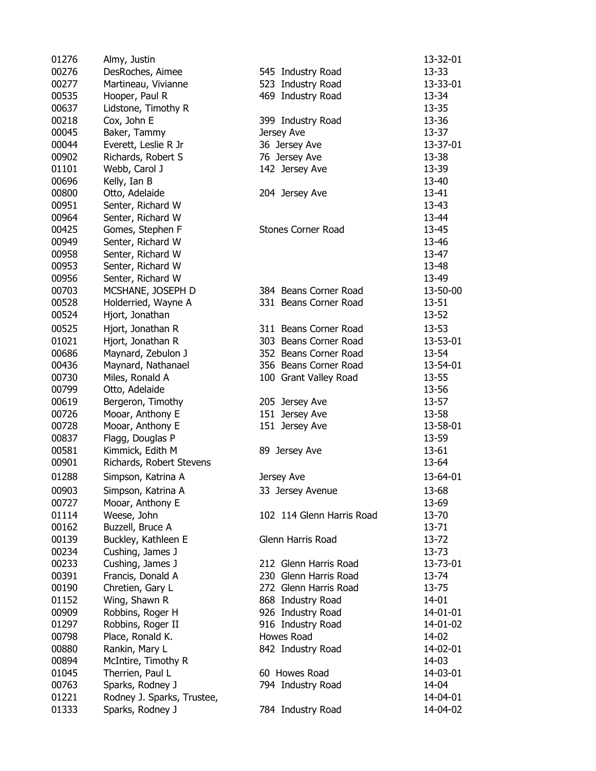| 01276 | Almy, Justin               |                           | 13-32-01  |
|-------|----------------------------|---------------------------|-----------|
| 00276 | DesRoches, Aimee           | 545 Industry Road         | 13-33     |
| 00277 | Martineau, Vivianne        | 523 Industry Road         | 13-33-01  |
| 00535 | Hooper, Paul R             | 469 Industry Road         | 13-34     |
| 00637 | Lidstone, Timothy R        |                           | $13 - 35$ |
| 00218 | Cox, John E                | 399 Industry Road         | 13-36     |
| 00045 | Baker, Tammy               | Jersey Ave                | $13 - 37$ |
| 00044 | Everett, Leslie R Jr       | 36 Jersey Ave             | 13-37-01  |
| 00902 | Richards, Robert S         | 76 Jersey Ave             | 13-38     |
| 01101 | Webb, Carol J              | 142 Jersey Ave            | 13-39     |
| 00696 | Kelly, Ian B               |                           | 13-40     |
| 00800 | Otto, Adelaide             | 204 Jersey Ave            | 13-41     |
| 00951 | Senter, Richard W          |                           | $13 - 43$ |
| 00964 | Senter, Richard W          |                           | 13-44     |
| 00425 | Gomes, Stephen F           | <b>Stones Corner Road</b> | 13-45     |
| 00949 | Senter, Richard W          |                           | 13-46     |
| 00958 | Senter, Richard W          |                           | 13-47     |
| 00953 | Senter, Richard W          |                           | 13-48     |
| 00956 | Senter, Richard W          |                           | 13-49     |
| 00703 | MCSHANE, JOSEPH D          | 384 Beans Corner Road     | 13-50-00  |
| 00528 | Holderried, Wayne A        | 331 Beans Corner Road     | 13-51     |
| 00524 | Hjort, Jonathan            |                           | 13-52     |
| 00525 | Hjort, Jonathan R          | 311 Beans Corner Road     | $13 - 53$ |
| 01021 | Hjort, Jonathan R          | 303 Beans Corner Road     | 13-53-01  |
| 00686 | Maynard, Zebulon J         | 352 Beans Corner Road     | 13-54     |
| 00436 | Maynard, Nathanael         | 356 Beans Corner Road     | 13-54-01  |
| 00730 | Miles, Ronald A            | 100 Grant Valley Road     | $13 - 55$ |
| 00799 | Otto, Adelaide             |                           | 13-56     |
| 00619 | Bergeron, Timothy          | 205 Jersey Ave            | 13-57     |
| 00726 | Mooar, Anthony E           | 151 Jersey Ave            | 13-58     |
| 00728 | Mooar, Anthony E           | 151 Jersey Ave            | 13-58-01  |
| 00837 | Flagg, Douglas P           |                           | 13-59     |
| 00581 | Kimmick, Edith M           | 89 Jersey Ave             | 13-61     |
| 00901 | Richards, Robert Stevens   |                           | 13-64     |
| 01288 | Simpson, Katrina A         | Jersey Ave                | 13-64-01  |
| 00903 | Simpson, Katrina A         | 33 Jersey Avenue          | 13-68     |
| 00727 | Mooar, Anthony E           |                           | 13-69     |
| 01114 | Weese, John                | 102 114 Glenn Harris Road | 13-70     |
| 00162 | Buzzell, Bruce A           |                           | 13-71     |
| 00139 | Buckley, Kathleen E        | Glenn Harris Road         | 13-72     |
| 00234 | Cushing, James J           |                           | 13-73     |
| 00233 | Cushing, James J           | 212 Glenn Harris Road     | 13-73-01  |
| 00391 | Francis, Donald A          | 230 Glenn Harris Road     | 13-74     |
| 00190 | Chretien, Gary L           | 272 Glenn Harris Road     | 13-75     |
| 01152 | Wing, Shawn R              | 868 Industry Road         | 14-01     |
| 00909 | Robbins, Roger H           | 926 Industry Road         | 14-01-01  |
| 01297 | Robbins, Roger II          | 916 Industry Road         | 14-01-02  |
| 00798 | Place, Ronald K.           | Howes Road                | 14-02     |
| 00880 | Rankin, Mary L             | 842 Industry Road         | 14-02-01  |
| 00894 | McIntire, Timothy R        |                           | 14-03     |
| 01045 | Therrien, Paul L           | 60 Howes Road             | 14-03-01  |
| 00763 | Sparks, Rodney J           | 794 Industry Road         | 14-04     |
| 01221 | Rodney J. Sparks, Trustee, |                           | 14-04-01  |
| 01333 | Sparks, Rodney J           | 784 Industry Road         | 14-04-02  |
|       |                            |                           |           |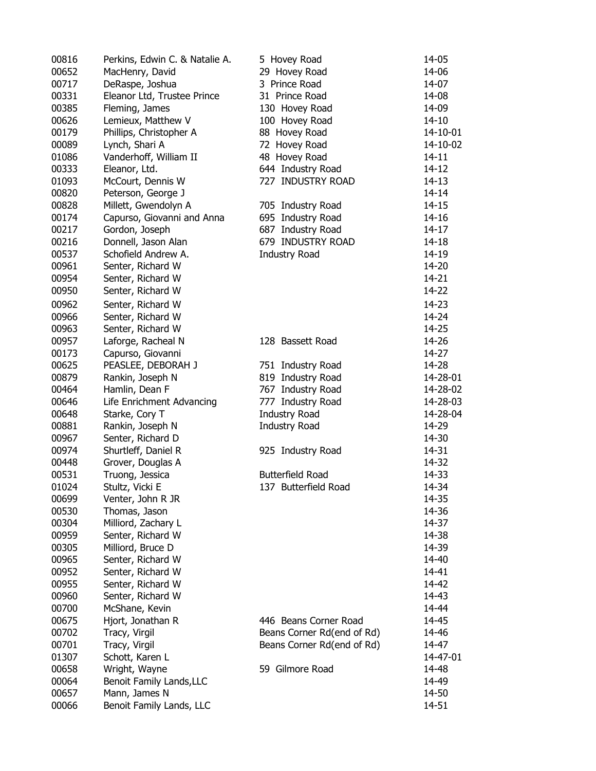| 00816 | Perkins, Edwin C. & Natalie A. | 5 Hovey Road               | 14-05          |
|-------|--------------------------------|----------------------------|----------------|
| 00652 | MacHenry, David                | 29 Hovey Road              | 14-06          |
| 00717 | DeRaspe, Joshua                | 3 Prince Road              | 14-07          |
| 00331 | Eleanor Ltd, Trustee Prince    | 31 Prince Road             | 14-08          |
| 00385 | Fleming, James                 | 130 Hovey Road             | 14-09          |
| 00626 | Lemieux, Matthew V             | 100 Hovey Road             | $14 - 10$      |
| 00179 | Phillips, Christopher A        | 88 Hovey Road              | 14-10-01       |
| 00089 | Lynch, Shari A                 | 72 Hovey Road              | 14-10-02       |
| 01086 | Vanderhoff, William II         | 48 Hovey Road              | $14 - 11$      |
| 00333 | Eleanor, Ltd.                  | 644 Industry Road          | $14 - 12$      |
| 01093 | McCourt, Dennis W              | 727 INDUSTRY ROAD          | $14 - 13$      |
| 00820 | Peterson, George J             |                            | $14 - 14$      |
| 00828 | Millett, Gwendolyn A           | 705 Industry Road          | $14 - 15$      |
| 00174 | Capurso, Giovanni and Anna     | 695 Industry Road          | $14 - 16$      |
| 00217 | Gordon, Joseph                 | 687 Industry Road          | 14-17          |
| 00216 | Donnell, Jason Alan            | 679 INDUSTRY ROAD          | 14-18          |
| 00537 | Schofield Andrew A.            | <b>Industry Road</b>       | 14-19          |
| 00961 | Senter, Richard W              |                            | 14-20          |
| 00954 | Senter, Richard W              |                            | 14-21          |
| 00950 | Senter, Richard W              |                            | 14-22          |
| 00962 |                                |                            |                |
|       | Senter, Richard W              |                            | 14-23<br>14-24 |
| 00966 | Senter, Richard W              |                            |                |
| 00963 | Senter, Richard W              |                            | 14-25          |
| 00957 | Laforge, Racheal N             | 128 Bassett Road           | 14-26          |
| 00173 | Capurso, Giovanni              |                            | 14-27          |
| 00625 | PEASLEE, DEBORAH J             | 751 Industry Road          | 14-28          |
| 00879 | Rankin, Joseph N               | 819 Industry Road          | 14-28-01       |
| 00464 | Hamlin, Dean F                 | 767 Industry Road          | 14-28-02       |
| 00646 | Life Enrichment Advancing      | 777 Industry Road          | 14-28-03       |
| 00648 | Starke, Cory T                 | Industry Road              | 14-28-04       |
| 00881 | Rankin, Joseph N               | <b>Industry Road</b>       | 14-29          |
| 00967 | Senter, Richard D              |                            | 14-30          |
| 00974 | Shurtleff, Daniel R            | 925 Industry Road          | 14-31          |
| 00448 | Grover, Douglas A              |                            | 14-32          |
| 00531 | Truong, Jessica                | <b>Butterfield Road</b>    | 14-33          |
| 01024 | Stultz, Vicki E                | 137 Butterfield Road       | 14-34          |
| 00699 | Venter, John R JR              |                            | 14-35          |
| 00530 | Thomas, Jason                  |                            | 14-36          |
| 00304 | Milliord, Zachary L            |                            | 14-37          |
| 00959 | Senter, Richard W              |                            | 14-38          |
| 00305 | Milliord, Bruce D              |                            | 14-39          |
| 00965 | Senter, Richard W              |                            | 14-40          |
| 00952 | Senter, Richard W              |                            | 14-41          |
| 00955 | Senter, Richard W              |                            | 14-42          |
| 00960 | Senter, Richard W              |                            | 14-43          |
| 00700 | McShane, Kevin                 |                            | 14-44          |
| 00675 | Hjort, Jonathan R              | 446 Beans Corner Road      | 14-45          |
| 00702 | Tracy, Virgil                  | Beans Corner Rd(end of Rd) | 14-46          |
| 00701 | Tracy, Virgil                  | Beans Corner Rd(end of Rd) | 14-47          |
| 01307 | Schott, Karen L                |                            | 14-47-01       |
| 00658 | Wright, Wayne                  | 59 Gilmore Road            | 14-48          |
| 00064 | Benoit Family Lands, LLC       |                            | 14-49          |
| 00657 | Mann, James N                  |                            | 14-50          |
| 00066 | Benoit Family Lands, LLC       |                            | 14-51          |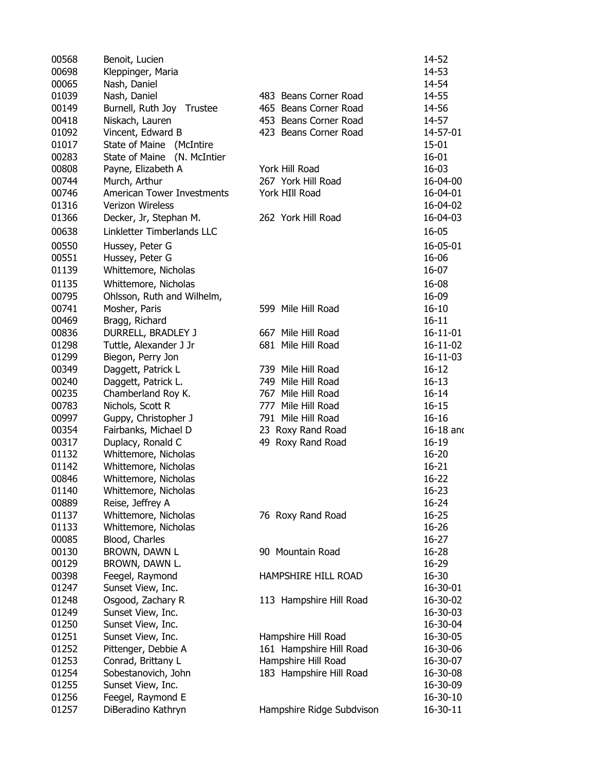| 00568 | Benoit, Lucien              |                           | 14-52          |
|-------|-----------------------------|---------------------------|----------------|
| 00698 | Kleppinger, Maria           |                           | 14-53          |
| 00065 | Nash, Daniel                |                           | 14-54          |
| 01039 | Nash, Daniel                | 483 Beans Corner Road     | 14-55          |
| 00149 | Burnell, Ruth Joy Trustee   | 465 Beans Corner Road     | 14-56          |
| 00418 | Niskach, Lauren             | 453 Beans Corner Road     | 14-57          |
| 01092 | Vincent, Edward B           | 423 Beans Corner Road     | 14-57-01       |
| 01017 | State of Maine (McIntire    |                           | 15-01          |
| 00283 | State of Maine (N. McIntier |                           | 16-01          |
| 00808 | Payne, Elizabeth A          | York Hill Road            | 16-03          |
| 00744 | Murch, Arthur               | 267 York Hill Road        | 16-04-00       |
| 00746 | American Tower Investments  | York HIII Road            | 16-04-01       |
| 01316 | Verizon Wireless            |                           | 16-04-02       |
| 01366 | Decker, Jr, Stephan M.      | 262 York Hill Road        | 16-04-03       |
| 00638 | Linkletter Timberlands LLC  |                           | 16-05          |
| 00550 | Hussey, Peter G             |                           | 16-05-01       |
| 00551 | Hussey, Peter G             |                           | 16-06          |
| 01139 | Whittemore, Nicholas        |                           | 16-07          |
| 01135 | Whittemore, Nicholas        |                           | 16-08          |
| 00795 | Ohlsson, Ruth and Wilhelm,  |                           | 16-09          |
| 00741 | Mosher, Paris               | 599 Mile Hill Road        | $16 - 10$      |
| 00469 | Bragg, Richard              |                           | $16 - 11$      |
| 00836 | DURRELL, BRADLEY J          | 667 Mile Hill Road        | $16 - 11 - 01$ |
| 01298 | Tuttle, Alexander J Jr      | 681 Mile Hill Road        | 16-11-02       |
| 01299 | Biegon, Perry Jon           |                           | 16-11-03       |
| 00349 | Daggett, Patrick L          | 739 Mile Hill Road        | $16 - 12$      |
| 00240 | Daggett, Patrick L.         | 749 Mile Hill Road        | $16 - 13$      |
| 00235 | Chamberland Roy K.          | 767 Mile Hill Road        | $16 - 14$      |
| 00783 | Nichols, Scott R            | 777 Mile Hill Road        | $16 - 15$      |
| 00997 | Guppy, Christopher J        | 791 Mile Hill Road        | $16 - 16$      |
| 00354 | Fairbanks, Michael D        | 23 Roxy Rand Road         | 16-18 and      |
| 00317 | Duplacy, Ronald C           | 49 Roxy Rand Road         | $16 - 19$      |
| 01132 | Whittemore, Nicholas        |                           | $16 - 20$      |
| 01142 | Whittemore, Nicholas        |                           | $16 - 21$      |
| 00846 | Whittemore, Nicholas        |                           | 16-22          |
| 01140 | Whittemore, Nicholas        |                           | 16-23          |
| 00889 | Reise, Jeffrey A            |                           | $16 - 24$      |
| 01137 | Whittemore, Nicholas        | 76 Roxy Rand Road         | $16 - 25$      |
| 01133 | Whittemore, Nicholas        |                           | 16-26          |
| 00085 | Blood, Charles              |                           | 16-27          |
| 00130 | BROWN, DAWN L               | 90 Mountain Road          | 16-28          |
| 00129 | BROWN, DAWN L.              |                           | 16-29          |
| 00398 | Feegel, Raymond             | HAMPSHIRE HILL ROAD       | 16-30          |
| 01247 | Sunset View, Inc.           |                           | 16-30-01       |
| 01248 | Osgood, Zachary R           | 113 Hampshire Hill Road   | 16-30-02       |
| 01249 | Sunset View, Inc.           |                           | 16-30-03       |
| 01250 | Sunset View, Inc.           |                           | 16-30-04       |
| 01251 | Sunset View, Inc.           | Hampshire Hill Road       | 16-30-05       |
| 01252 | Pittenger, Debbie A         | 161 Hampshire Hill Road   | 16-30-06       |
| 01253 | Conrad, Brittany L          | Hampshire Hill Road       | 16-30-07       |
| 01254 | Sobestanovich, John         | 183 Hampshire Hill Road   | 16-30-08       |
| 01255 | Sunset View, Inc.           |                           | 16-30-09       |
| 01256 | Feegel, Raymond E           |                           | 16-30-10       |
| 01257 | DiBeradino Kathryn          | Hampshire Ridge Subdvison | 16-30-11       |
|       |                             |                           |                |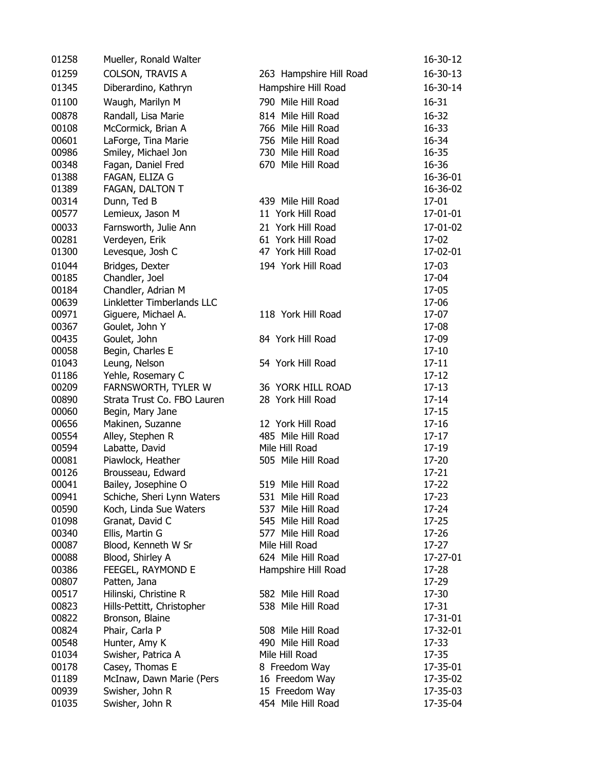| 16-30-12             |
|----------------------|
| 16-30-13             |
| 16-30-14             |
| 16-31                |
| 16-32                |
| 16-33                |
| 16-34                |
| 16-35                |
| 16-36                |
| 16-36-01             |
| 16-36-02             |
| 17-01                |
| 17-01-01             |
| 17-01-02             |
| 17-02                |
| 17-02-01             |
| 17-03                |
| 17-04                |
| 17-05                |
| 17-06                |
| 17-07                |
| 17-08                |
| 17-09                |
| $17 - 10$            |
| $17 - 11$            |
| $17 - 12$            |
| $17 - 13$            |
| $17 - 14$            |
| $17 - 15$            |
| $17 - 16$            |
| $17-17$              |
| 17-19                |
| 17-20                |
| $17 - 21$            |
| 17-22                |
| 17-23                |
| 17-24                |
| 17-25                |
| 17-26                |
| 17-27                |
| 17-27-01             |
| 17-28                |
| 17-29                |
| 17-30<br>17-31       |
| 17-31-01             |
|                      |
|                      |
| 17-32-01             |
| 17-33                |
| 17-35                |
| 17-35-01             |
| 17-35-02<br>17-35-03 |
|                      |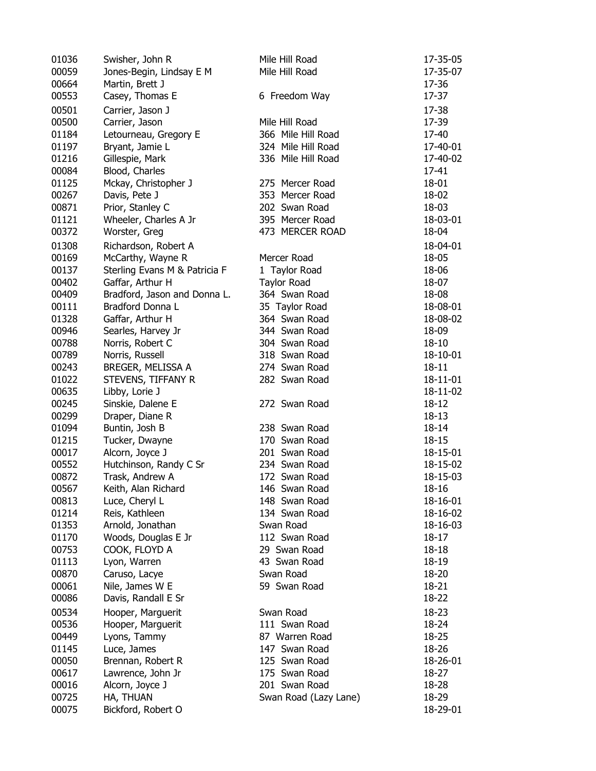| 01036 | Swisher, John R               | Mile Hill Road        | 17-35-05  |
|-------|-------------------------------|-----------------------|-----------|
| 00059 | Jones-Begin, Lindsay E M      | Mile Hill Road        | 17-35-07  |
| 00664 | Martin, Brett J               |                       | 17-36     |
| 00553 | Casey, Thomas E               | 6 Freedom Way         | 17-37     |
| 00501 | Carrier, Jason J              |                       | 17-38     |
| 00500 | Carrier, Jason                | Mile Hill Road        | 17-39     |
| 01184 | Letourneau, Gregory E         | 366 Mile Hill Road    | 17-40     |
| 01197 | Bryant, Jamie L               | 324 Mile Hill Road    | 17-40-01  |
| 01216 | Gillespie, Mark               | 336 Mile Hill Road    | 17-40-02  |
| 00084 | Blood, Charles                |                       | 17-41     |
| 01125 | Mckay, Christopher J          | 275 Mercer Road       | $18 - 01$ |
|       |                               | 353 Mercer Road       | 18-02     |
| 00267 | Davis, Pete J                 |                       |           |
| 00871 | Prior, Stanley C              | 202 Swan Road         | 18-03     |
| 01121 | Wheeler, Charles A Jr         | 395 Mercer Road       | 18-03-01  |
| 00372 | Worster, Greg                 | 473 MERCER ROAD       | 18-04     |
| 01308 | Richardson, Robert A          |                       | 18-04-01  |
| 00169 | McCarthy, Wayne R             | Mercer Road           | 18-05     |
| 00137 | Sterling Evans M & Patricia F | 1 Taylor Road         | 18-06     |
| 00402 | Gaffar, Arthur H              | <b>Taylor Road</b>    | 18-07     |
| 00409 | Bradford, Jason and Donna L.  | 364 Swan Road         | 18-08     |
| 00111 | Bradford Donna L              | 35 Taylor Road        | 18-08-01  |
| 01328 | Gaffar, Arthur H              | 364 Swan Road         | 18-08-02  |
| 00946 | Searles, Harvey Jr            | 344 Swan Road         | 18-09     |
| 00788 | Norris, Robert C              | 304 Swan Road         | 18-10     |
| 00789 | Norris, Russell               | 318 Swan Road         | 18-10-01  |
| 00243 | BREGER, MELISSA A             | 274 Swan Road         | $18 - 11$ |
| 01022 | STEVENS, TIFFANY R            | 282 Swan Road         | 18-11-01  |
| 00635 | Libby, Lorie J                |                       | 18-11-02  |
| 00245 | Sinskie, Dalene E             | 272 Swan Road         | 18-12     |
| 00299 | Draper, Diane R               |                       | $18 - 13$ |
| 01094 | Buntin, Josh B                | 238 Swan Road         | $18 - 14$ |
| 01215 | Tucker, Dwayne                | 170 Swan Road         | $18 - 15$ |
| 00017 | Alcorn, Joyce J               | 201 Swan Road         | 18-15-01  |
| 00552 | Hutchinson, Randy C Sr        | 234 Swan Road         | 18-15-02  |
| 00872 | Trask, Andrew A               | 172 Swan Road         | 18-15-03  |
| 00567 | Keith, Alan Richard           | 146 Swan Road         | 18-16     |
| 00813 | Luce, Cheryl L                | 148 Swan Road         | 18-16-01  |
| 01214 | Reis, Kathleen                | 134 Swan Road         | 18-16-02  |
| 01353 | Arnold, Jonathan              | Swan Road             | 18-16-03  |
| 01170 | Woods, Douglas E Jr           | 112 Swan Road         | 18-17     |
| 00753 | COOK, FLOYD A                 | 29 Swan Road          | 18-18     |
| 01113 | Lyon, Warren                  | 43 Swan Road          | 18-19     |
| 00870 | Caruso, Lacye                 | Swan Road             | 18-20     |
| 00061 | Nile, James W E               | 59 Swan Road          | $18 - 21$ |
| 00086 | Davis, Randall E Sr           |                       | 18-22     |
|       |                               |                       |           |
| 00534 | Hooper, Marquerit             | Swan Road             | 18-23     |
| 00536 | Hooper, Marguerit             | 111 Swan Road         | 18-24     |
| 00449 | Lyons, Tammy                  | 87 Warren Road        | $18 - 25$ |
| 01145 | Luce, James                   | 147 Swan Road         | 18-26     |
| 00050 | Brennan, Robert R             | 125 Swan Road         | 18-26-01  |
| 00617 | Lawrence, John Jr             | 175 Swan Road         | 18-27     |
| 00016 | Alcorn, Joyce J               | 201 Swan Road         | 18-28     |
| 00725 | HA, THUAN                     | Swan Road (Lazy Lane) | 18-29     |
| 00075 | Bickford, Robert O            |                       | 18-29-01  |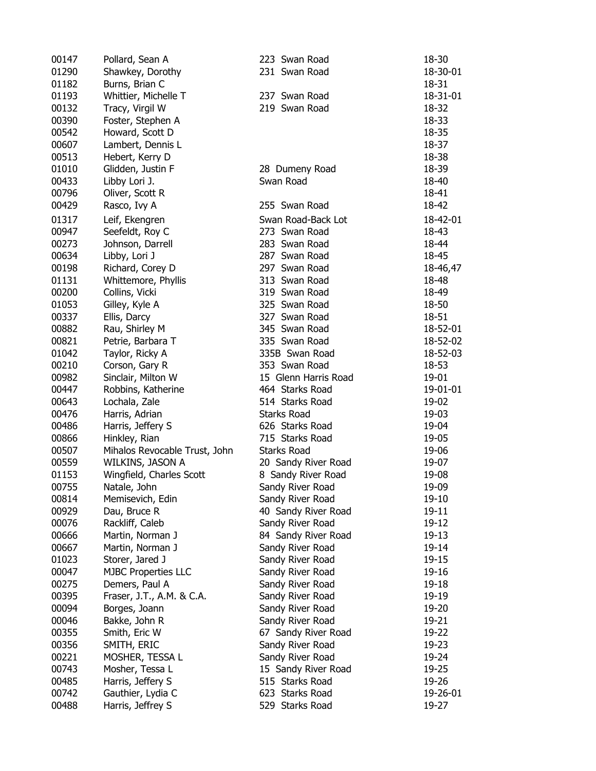| 00147 | Pollard, Sean A               | 223 Swan Road        | 18-30     |
|-------|-------------------------------|----------------------|-----------|
| 01290 | Shawkey, Dorothy              | 231 Swan Road        | 18-30-01  |
| 01182 | Burns, Brian C                |                      | 18-31     |
| 01193 | Whittier, Michelle T          | 237 Swan Road        | 18-31-01  |
| 00132 | Tracy, Virgil W               | 219 Swan Road        | 18-32     |
| 00390 | Foster, Stephen A             |                      | 18-33     |
| 00542 | Howard, Scott D               |                      | 18-35     |
| 00607 |                               |                      | 18-37     |
|       | Lambert, Dennis L             |                      | 18-38     |
| 00513 | Hebert, Kerry D               |                      |           |
| 01010 | Glidden, Justin F             | 28 Dumeny Road       | 18-39     |
| 00433 | Libby Lori J.                 | Swan Road            | 18-40     |
| 00796 | Oliver, Scott R               |                      | 18-41     |
| 00429 | Rasco, Ivy A                  | 255 Swan Road        | 18-42     |
| 01317 | Leif, Ekengren                | Swan Road-Back Lot   | 18-42-01  |
| 00947 | Seefeldt, Roy C               | 273 Swan Road        | 18-43     |
| 00273 | Johnson, Darrell              | 283 Swan Road        | 18-44     |
| 00634 | Libby, Lori J                 | 287 Swan Road        | 18-45     |
| 00198 | Richard, Corey D              | 297 Swan Road        | 18-46,47  |
| 01131 | Whittemore, Phyllis           | 313 Swan Road        | 18-48     |
| 00200 | Collins, Vicki                | 319 Swan Road        | 18-49     |
| 01053 | Gilley, Kyle A                | 325 Swan Road        | 18-50     |
| 00337 | Ellis, Darcy                  | 327 Swan Road        | 18-51     |
| 00882 | Rau, Shirley M                | 345 Swan Road        | 18-52-01  |
| 00821 | Petrie, Barbara T             | 335 Swan Road        | 18-52-02  |
| 01042 | Taylor, Ricky A               | 335B Swan Road       | 18-52-03  |
| 00210 | Corson, Gary R                | 353 Swan Road        | 18-53     |
| 00982 | Sinclair, Milton W            | 15 Glenn Harris Road | 19-01     |
| 00447 | Robbins, Katherine            | 464 Starks Road      | 19-01-01  |
| 00643 | Lochala, Zale                 | 514 Starks Road      | 19-02     |
| 00476 | Harris, Adrian                | <b>Starks Road</b>   | 19-03     |
| 00486 | Harris, Jeffery S             | 626 Starks Road      | 19-04     |
|       |                               |                      |           |
| 00866 | Hinkley, Rian                 | 715 Starks Road      | 19-05     |
| 00507 | Mihalos Revocable Trust, John | <b>Starks Road</b>   | 19-06     |
| 00559 | WILKINS, JASON A              | 20 Sandy River Road  | 19-07     |
| 01153 | Wingfield, Charles Scott      | 8 Sandy River Road   | 19-08     |
| 00755 | Natale, John                  | Sandy River Road     | 19-09     |
| 00814 | Memisevich, Edin              | Sandy River Road     | 19-10     |
| 00929 | Dau, Bruce R                  | 40 Sandy River Road  | $19 - 11$ |
| 00076 | Rackliff, Caleb               | Sandy River Road     | $19 - 12$ |
| 00666 | Martin, Norman J              | 84 Sandy River Road  | $19-13$   |
| 00667 | Martin, Norman J              | Sandy River Road     | 19-14     |
| 01023 | Storer, Jared J               | Sandy River Road     | 19-15     |
| 00047 | <b>MJBC Properties LLC</b>    | Sandy River Road     | 19-16     |
| 00275 | Demers, Paul A                | Sandy River Road     | $19 - 18$ |
| 00395 | Fraser, J.T., A.M. & C.A.     | Sandy River Road     | 19-19     |
| 00094 | Borges, Joann                 | Sandy River Road     | 19-20     |
| 00046 | Bakke, John R                 | Sandy River Road     | 19-21     |
| 00355 | Smith, Eric W                 | 67 Sandy River Road  | 19-22     |
| 00356 | SMITH, ERIC                   | Sandy River Road     | 19-23     |
| 00221 | MOSHER, TESSA L               | Sandy River Road     | 19-24     |
| 00743 | Mosher, Tessa L               | 15 Sandy River Road  | 19-25     |
| 00485 | Harris, Jeffery S             | 515 Starks Road      | 19-26     |
| 00742 | Gauthier, Lydia C             | 623 Starks Road      | 19-26-01  |
| 00488 | Harris, Jeffrey S             | 529 Starks Road      | 19-27     |
|       |                               |                      |           |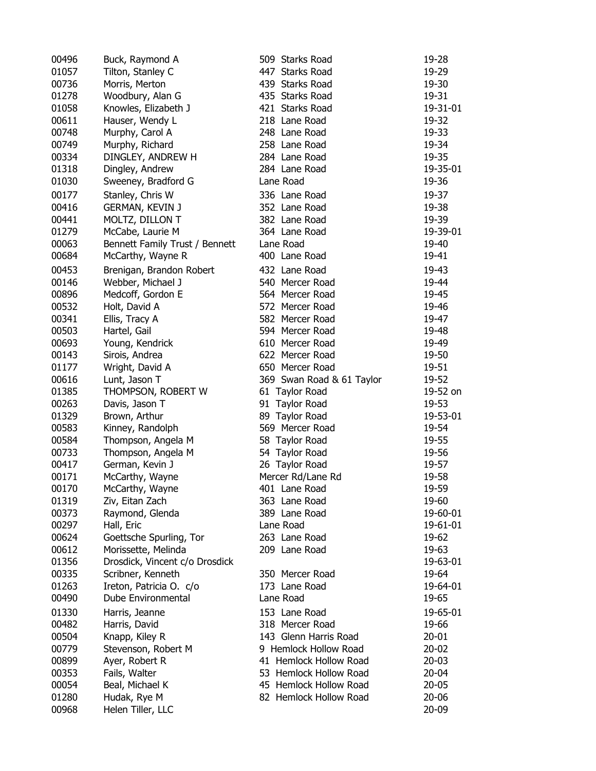| 00496 | Buck, Raymond A                | 509 Starks Road           | 19-28     |
|-------|--------------------------------|---------------------------|-----------|
| 01057 | Tilton, Stanley C              | 447 Starks Road           | 19-29     |
| 00736 | Morris, Merton                 | 439 Starks Road           | 19-30     |
| 01278 | Woodbury, Alan G               | 435 Starks Road           | 19-31     |
| 01058 | Knowles, Elizabeth J           | 421 Starks Road           | 19-31-01  |
| 00611 | Hauser, Wendy L                | 218 Lane Road             | 19-32     |
| 00748 | Murphy, Carol A                | 248 Lane Road             | 19-33     |
| 00749 | Murphy, Richard                | 258 Lane Road             | 19-34     |
| 00334 | DINGLEY, ANDREW H              | 284 Lane Road             | 19-35     |
| 01318 | Dingley, Andrew                | 284 Lane Road             | 19-35-01  |
| 01030 | Sweeney, Bradford G            | Lane Road                 | 19-36     |
|       |                                |                           |           |
| 00177 | Stanley, Chris W               | 336 Lane Road             | 19-37     |
| 00416 | <b>GERMAN, KEVIN J</b>         | 352 Lane Road             | 19-38     |
| 00441 | MOLTZ, DILLON T                | 382 Lane Road             | 19-39     |
| 01279 | McCabe, Laurie M               | 364 Lane Road             | 19-39-01  |
| 00063 | Bennett Family Trust / Bennett | Lane Road                 | 19-40     |
| 00684 | McCarthy, Wayne R              | 400 Lane Road             | 19-41     |
| 00453 | Brenigan, Brandon Robert       | 432 Lane Road             | 19-43     |
| 00146 | Webber, Michael J              | 540 Mercer Road           | 19-44     |
| 00896 | Medcoff, Gordon E              | 564 Mercer Road           | 19-45     |
| 00532 | Holt, David A                  | 572 Mercer Road           | 19-46     |
| 00341 | Ellis, Tracy A                 | 582 Mercer Road           | 19-47     |
| 00503 | Hartel, Gail                   | 594 Mercer Road           | 19-48     |
| 00693 | Young, Kendrick                | 610 Mercer Road           | 19-49     |
| 00143 | Sirois, Andrea                 | 622 Mercer Road           | 19-50     |
| 01177 | Wright, David A                | 650 Mercer Road           | 19-51     |
| 00616 | Lunt, Jason T                  | 369 Swan Road & 61 Taylor | 19-52     |
| 01385 | THOMPSON, ROBERT W             | 61 Taylor Road            | 19-52 on  |
| 00263 | Davis, Jason T                 | 91 Taylor Road            | 19-53     |
| 01329 | Brown, Arthur                  | 89 Taylor Road            | 19-53-01  |
| 00583 | Kinney, Randolph               | 569 Mercer Road           | 19-54     |
| 00584 | Thompson, Angela M             | 58 Taylor Road            | 19-55     |
| 00733 | Thompson, Angela M             | 54 Taylor Road            | 19-56     |
| 00417 | German, Kevin J                | 26 Taylor Road            | 19-57     |
| 00171 | McCarthy, Wayne                | Mercer Rd/Lane Rd         | 19-58     |
| 00170 | McCarthy, Wayne                | 401 Lane Road             | 19-59     |
| 01319 | Ziv, Eitan Zach                | 363 Lane Road             | 19-60     |
| 00373 | Raymond, Glenda                | 389 Lane Road             | 19-60-01  |
| 00297 | Hall, Eric                     | Lane Road                 | 19-61-01  |
| 00624 | Goettsche Spurling, Tor        | 263 Lane Road             | 19-62     |
| 00612 | Morissette, Melinda            | 209 Lane Road             | 19-63     |
| 01356 | Drosdick, Vincent c/o Drosdick |                           | 19-63-01  |
| 00335 | Scribner, Kenneth              | 350 Mercer Road           | 19-64     |
| 01263 | Ireton, Patricia O. c/o        | 173 Lane Road             | 19-64-01  |
| 00490 | Dube Environmental             | Lane Road                 | 19-65     |
| 01330 | Harris, Jeanne                 | 153 Lane Road             | 19-65-01  |
| 00482 | Harris, David                  | 318 Mercer Road           | 19-66     |
| 00504 | Knapp, Kiley R                 | 143 Glenn Harris Road     | $20 - 01$ |
| 00779 | Stevenson, Robert M            | 9 Hemlock Hollow Road     | $20 - 02$ |
| 00899 | Ayer, Robert R                 | 41 Hemlock Hollow Road    | $20 - 03$ |
| 00353 | Fails, Walter                  | 53 Hemlock Hollow Road    | $20 - 04$ |
| 00054 | Beal, Michael K                | 45 Hemlock Hollow Road    | $20 - 05$ |
| 01280 | Hudak, Rye M                   | 82 Hemlock Hollow Road    | $20 - 06$ |
| 00968 | Helen Tiller, LLC              |                           | 20-09     |
|       |                                |                           |           |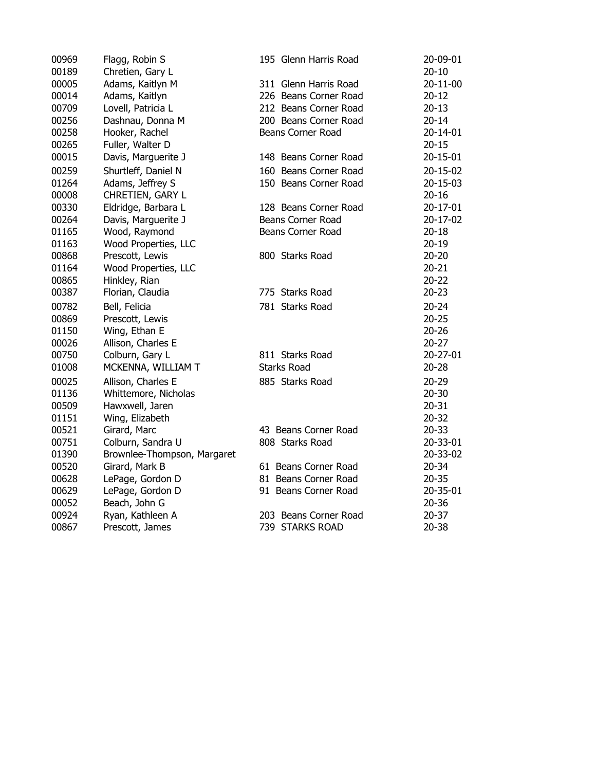| 00969 | Flagg, Robin S              | 195 Glenn Harris Road | 20-09-01  |
|-------|-----------------------------|-----------------------|-----------|
| 00189 | Chretien, Gary L            |                       | $20 - 10$ |
| 00005 | Adams, Kaitlyn M            | 311 Glenn Harris Road | 20-11-00  |
| 00014 | Adams, Kaitlyn              | 226 Beans Corner Road | $20 - 12$ |
| 00709 | Lovell, Patricia L          | 212 Beans Corner Road | $20 - 13$ |
| 00256 | Dashnau, Donna M            | 200 Beans Corner Road | $20 - 14$ |
| 00258 | Hooker, Rachel              | Beans Corner Road     | 20-14-01  |
| 00265 | Fuller, Walter D            |                       | $20 - 15$ |
| 00015 | Davis, Marguerite J         | 148 Beans Corner Road | 20-15-01  |
| 00259 | Shurtleff, Daniel N         | 160 Beans Corner Road | 20-15-02  |
| 01264 | Adams, Jeffrey S            | 150 Beans Corner Road | 20-15-03  |
| 00008 | CHRETIEN, GARY L            |                       | $20 - 16$ |
| 00330 | Eldridge, Barbara L         | 128 Beans Corner Road | 20-17-01  |
| 00264 | Davis, Marguerite J         | Beans Corner Road     | 20-17-02  |
| 01165 | Wood, Raymond               | Beans Corner Road     | $20 - 18$ |
| 01163 | Wood Properties, LLC        |                       | $20 - 19$ |
| 00868 | Prescott, Lewis             | 800 Starks Road       | $20 - 20$ |
| 01164 | Wood Properties, LLC        |                       | $20 - 21$ |
| 00865 | Hinkley, Rian               |                       | $20 - 22$ |
| 00387 | Florian, Claudia            | 775 Starks Road       | $20 - 23$ |
| 00782 | Bell, Felicia               | 781 Starks Road       | $20 - 24$ |
| 00869 | Prescott, Lewis             |                       | $20 - 25$ |
| 01150 | Wing, Ethan E               |                       | $20 - 26$ |
| 00026 | Allison, Charles E          |                       | $20 - 27$ |
| 00750 | Colburn, Gary L             | 811 Starks Road       | 20-27-01  |
| 01008 | MCKENNA, WILLIAM T          | <b>Starks Road</b>    | $20 - 28$ |
| 00025 | Allison, Charles E          | 885 Starks Road       | $20 - 29$ |
| 01136 | Whittemore, Nicholas        |                       | $20 - 30$ |
| 00509 | Hawxwell, Jaren             |                       | $20 - 31$ |
| 01151 | Wing, Elizabeth             |                       | $20 - 32$ |
| 00521 | Girard, Marc                | 43 Beans Corner Road  | $20 - 33$ |
| 00751 | Colburn, Sandra U           | 808 Starks Road       | 20-33-01  |
| 01390 | Brownlee-Thompson, Margaret |                       | 20-33-02  |
| 00520 | Girard, Mark B              | 61 Beans Corner Road  | $20 - 34$ |
| 00628 | LePage, Gordon D            | 81 Beans Corner Road  | $20 - 35$ |
| 00629 | LePage, Gordon D            | 91 Beans Corner Road  | 20-35-01  |
| 00052 | Beach, John G               |                       | $20 - 36$ |
| 00924 | Ryan, Kathleen A            | 203 Beans Corner Road | $20 - 37$ |
| 00867 | Prescott, James             | 739 STARKS ROAD       | $20 - 38$ |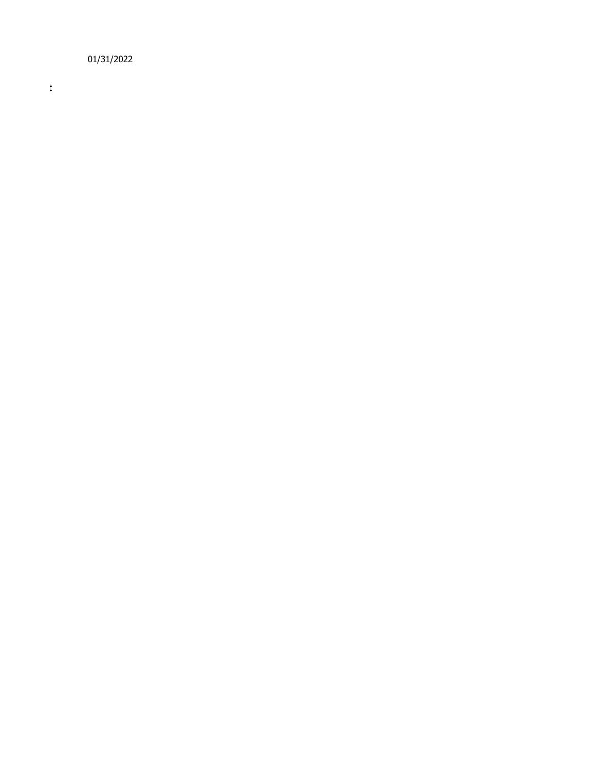01/31/2022

 $\mathbf{t}$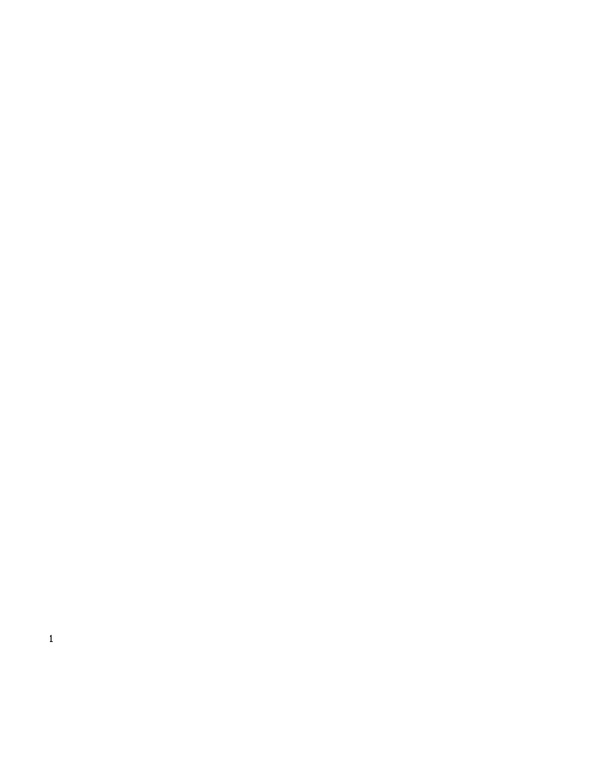$\overline{1}$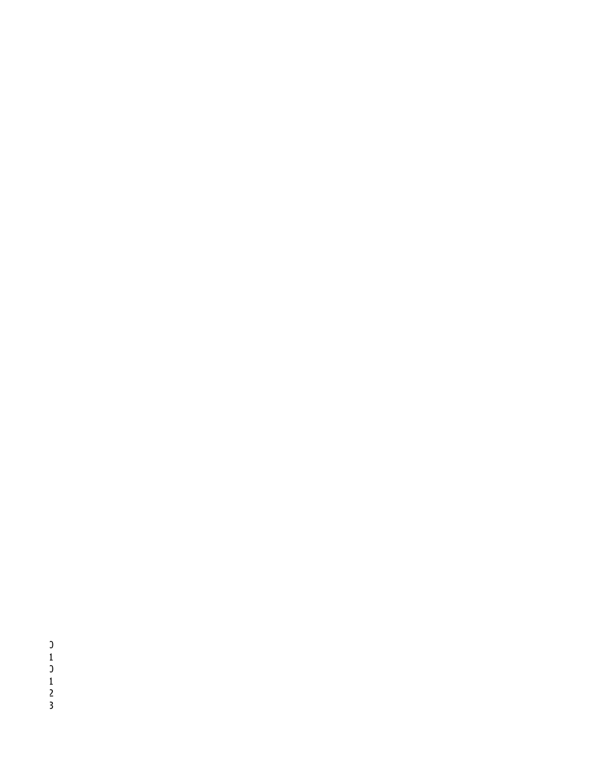11-100-00  $1$ 11-101-00  $1$ 11-101-2<br>11-11-2 11-101-03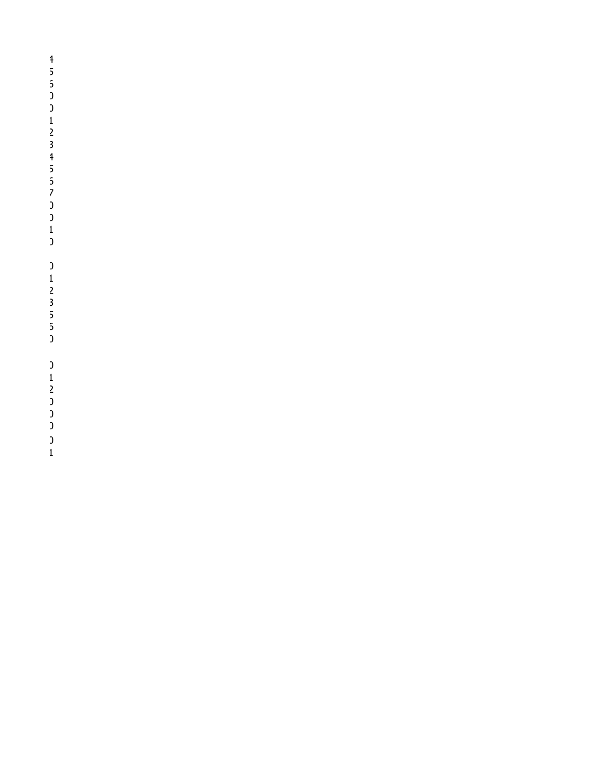11-101-04 11-101-05 11-101-06 11-102-002<br>11-102-002 11-103-00  $1$  $1/12$ 11-103-03 11-103-04 11-103-05 11-103-06 11-103-07 11-104-00 11-105-00  $1$ 11-106-00 11-108-00  $1$  $11-10$ 11-108-03 11-108-05 11-108-06 11-109-00 11-110-00  $1$  $11-12$ 11-111-00 11-112-00 11-113-00 D 11-114-00  $1$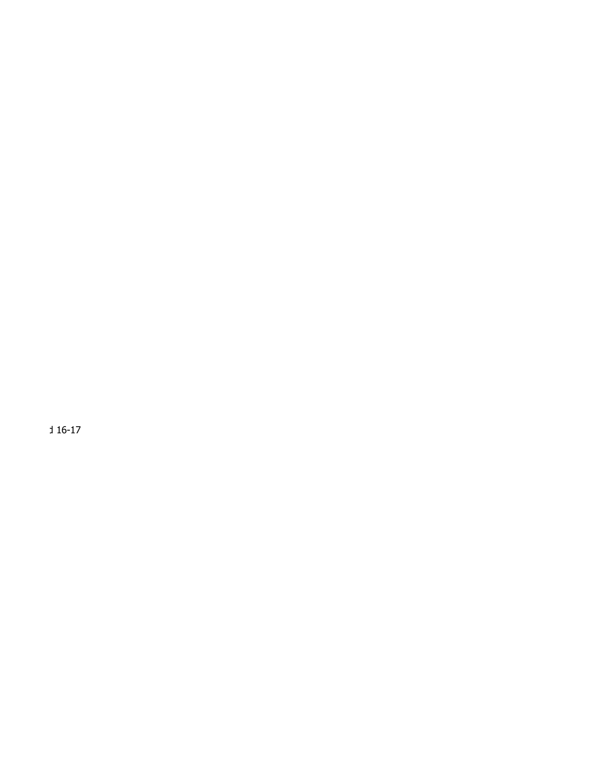$116-17$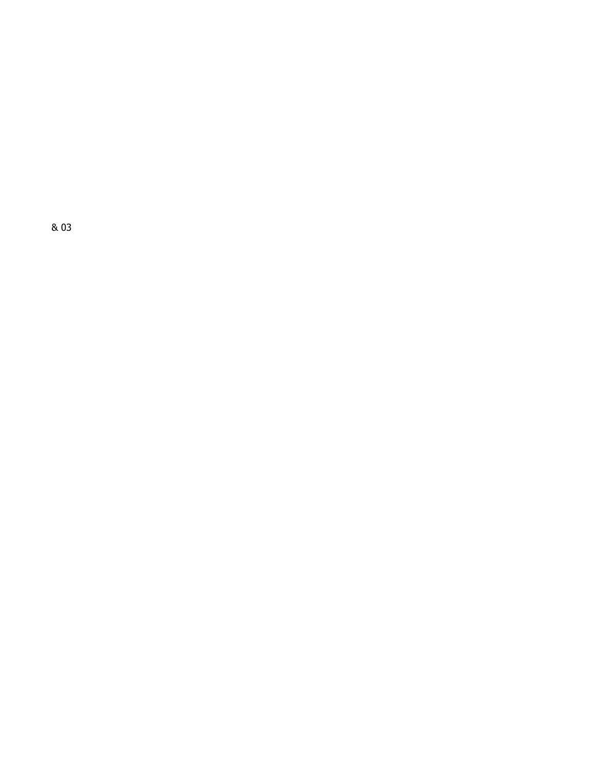8.03